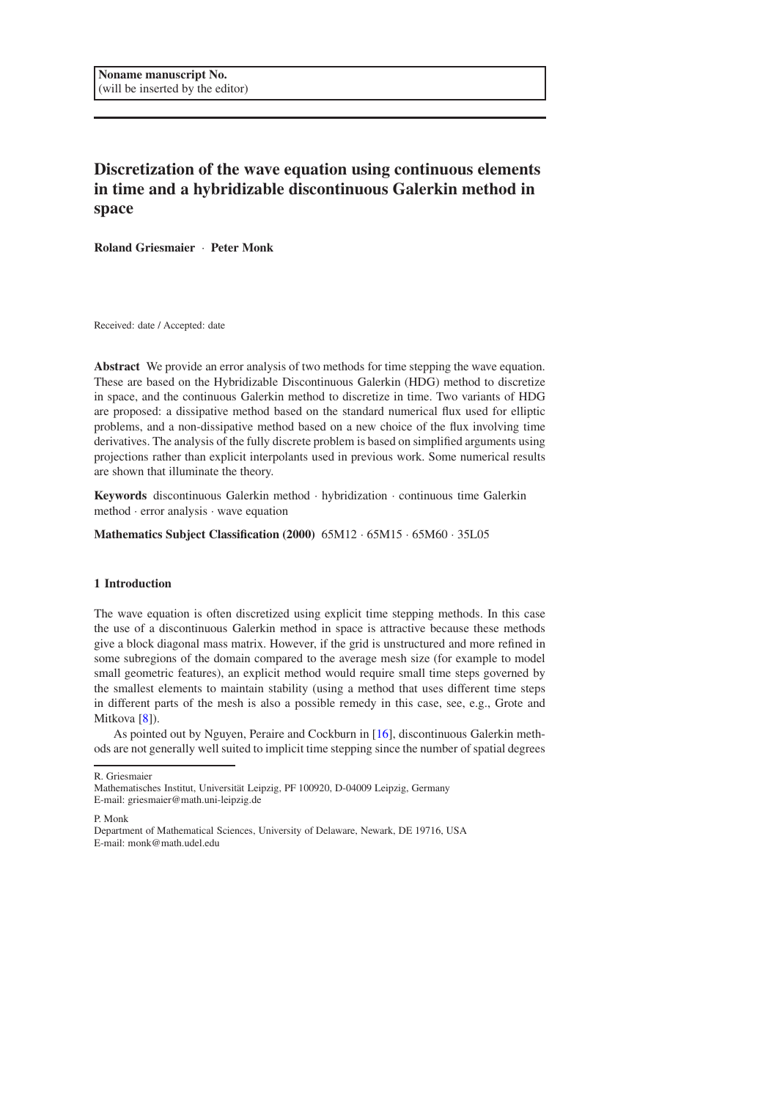# Discretization of the wave equation using continuous elements in time and a hybridizable discontinuous Galerkin method in space

Roland Griesmaier · Peter Monk

Received: date / Accepted: date

Abstract We provide an error analysis of two methods for time stepping the wave equation. These are based on the Hybridizable Discontinuous Galerkin (HDG) method to discretize in space, and the continuous Galerkin method to discretize in time. Two variants of HDG are proposed: a dissipative method based on the standard numerical flux used for elliptic problems, and a non-dissipative method based on a new choice of the flux involving time derivatives. The analysis of the fully discrete problem is based on simplified arguments using projections rather than explicit interpolants used in previous work. Some numerical results are shown that illuminate the theory.

Keywords discontinuous Galerkin method · hybridization · continuous time Galerkin method · error analysis · wave equation

Mathematics Subject Classification (2000) 65M12 · 65M15 · 65M60 · 35L05

## 1 Introduction

The wave equation is often discretized using explicit time stepping methods. In this case the use of a discontinuous Galerkin method in space is attractive because these methods give a block diagonal mass matrix. However, if the grid is unstructured and more refined in some subregions of the domain compared to the average mesh size (for example to model small geometric features), an explicit method would require small time steps governed by the smallest elements to maintain stability (using a method that uses different time steps in different parts of the mesh is also a possible remedy in this case, see, e.g., Grote and Mitkova [\[8\]](#page-23-0)).

As pointed out by Nguyen, Peraire and Cockburn in [\[16\]](#page-23-1), discontinuous Galerkin methods are not generally well suited to implicit time stepping since the number of spatial degrees

R. Griesmaier

P. Monk

Department of Mathematical Sciences, University of Delaware, Newark, DE 19716, USA E-mail: monk@math.udel.edu

Mathematisches Institut, Universität Leipzig, PF 100920, D-04009 Leipzig, Germany

E-mail: griesmaier@math.uni-leipzig.de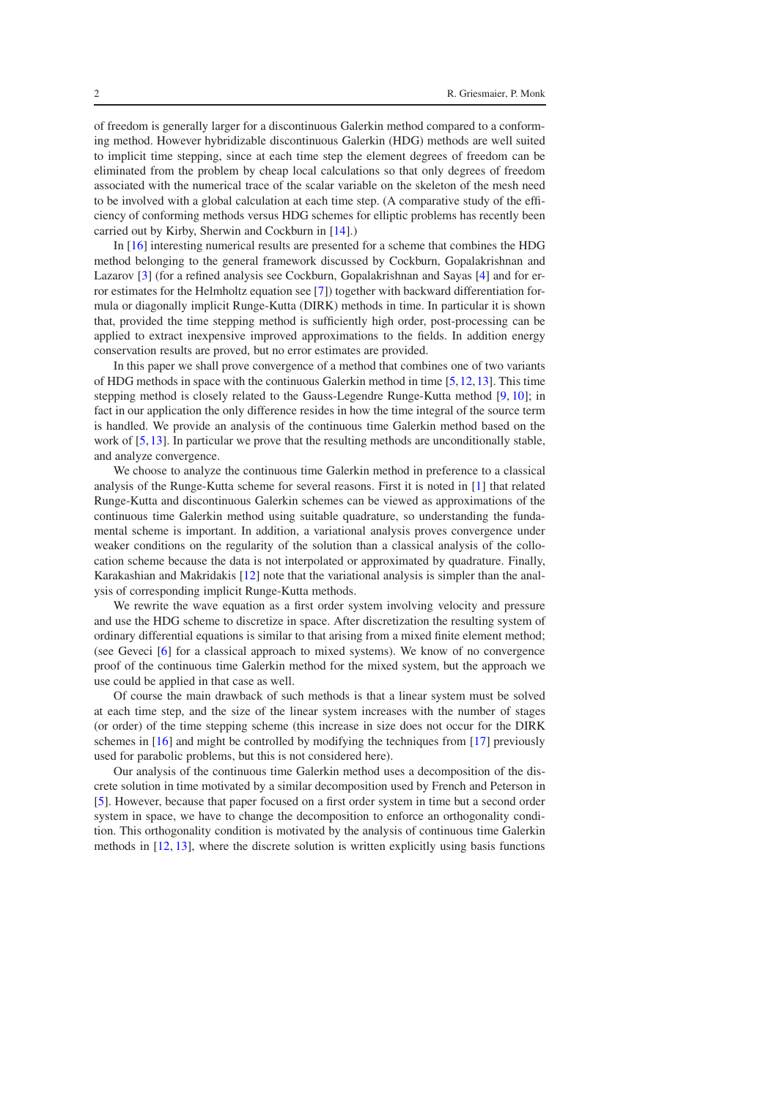of freedom is generally larger for a discontinuous Galerkin method compared to a conforming method. However hybridizable discontinuous Galerkin (HDG) methods are well suited to implicit time stepping, since at each time step the element degrees of freedom can be eliminated from the problem by cheap local calculations so that only degrees of freedom associated with the numerical trace of the scalar variable on the skeleton of the mesh need to be involved with a global calculation at each time step. (A comparative study of the efficiency of conforming methods versus HDG schemes for elliptic problems has recently been carried out by Kirby, Sherwin and Cockburn in [\[14\]](#page-23-2).)

In [\[16\]](#page-23-1) interesting numerical results are presented for a scheme that combines the HDG method belonging to the general framework discussed by Cockburn, Gopalakrishnan and Lazarov [\[3\]](#page-23-3) (for a refined analysis see Cockburn, Gopalakrishnan and Sayas [\[4\]](#page-23-4) and for error estimates for the Helmholtz equation see [\[7\]](#page-23-5)) together with backward differentiation formula or diagonally implicit Runge-Kutta (DIRK) methods in time. In particular it is shown that, provided the time stepping method is sufficiently high order, post-processing can be applied to extract inexpensive improved approximations to the fields. In addition energy conservation results are proved, but no error estimates are provided.

In this paper we shall prove convergence of a method that combines one of two variants of HDG methods in space with the continuous Galerkin method in time [\[5,](#page-23-6)[12,](#page-23-7)[13\]](#page-23-8). This time stepping method is closely related to the Gauss-Legendre Runge-Kutta method [\[9,](#page-23-9) [10\]](#page-23-10); in fact in our application the only difference resides in how the time integral of the source term is handled. We provide an analysis of the continuous time Galerkin method based on the work of [\[5,](#page-23-6)[13\]](#page-23-8). In particular we prove that the resulting methods are unconditionally stable, and analyze convergence.

We choose to analyze the continuous time Galerkin method in preference to a classical analysis of the Runge-Kutta scheme for several reasons. First it is noted in [\[1\]](#page-23-11) that related Runge-Kutta and discontinuous Galerkin schemes can be viewed as approximations of the continuous time Galerkin method using suitable quadrature, so understanding the fundamental scheme is important. In addition, a variational analysis proves convergence under weaker conditions on the regularity of the solution than a classical analysis of the collocation scheme because the data is not interpolated or approximated by quadrature. Finally, Karakashian and Makridakis [\[12\]](#page-23-7) note that the variational analysis is simpler than the analysis of corresponding implicit Runge-Kutta methods.

We rewrite the wave equation as a first order system involving velocity and pressure and use the HDG scheme to discretize in space. After discretization the resulting system of ordinary differential equations is similar to that arising from a mixed finite element method; (see Geveci [\[6\]](#page-23-12) for a classical approach to mixed systems). We know of no convergence proof of the continuous time Galerkin method for the mixed system, but the approach we use could be applied in that case as well.

Of course the main drawback of such methods is that a linear system must be solved at each time step, and the size of the linear system increases with the number of stages (or order) of the time stepping scheme (this increase in size does not occur for the DIRK schemes in [\[16\]](#page-23-1) and might be controlled by modifying the techniques from [\[17\]](#page-23-13) previously used for parabolic problems, but this is not considered here).

Our analysis of the continuous time Galerkin method uses a decomposition of the discrete solution in time motivated by a similar decomposition used by French and Peterson in [\[5\]](#page-23-6). However, because that paper focused on a first order system in time but a second order system in space, we have to change the decomposition to enforce an orthogonality condition. This orthogonality condition is motivated by the analysis of continuous time Galerkin methods in [\[12,](#page-23-7) [13\]](#page-23-8), where the discrete solution is written explicitly using basis functions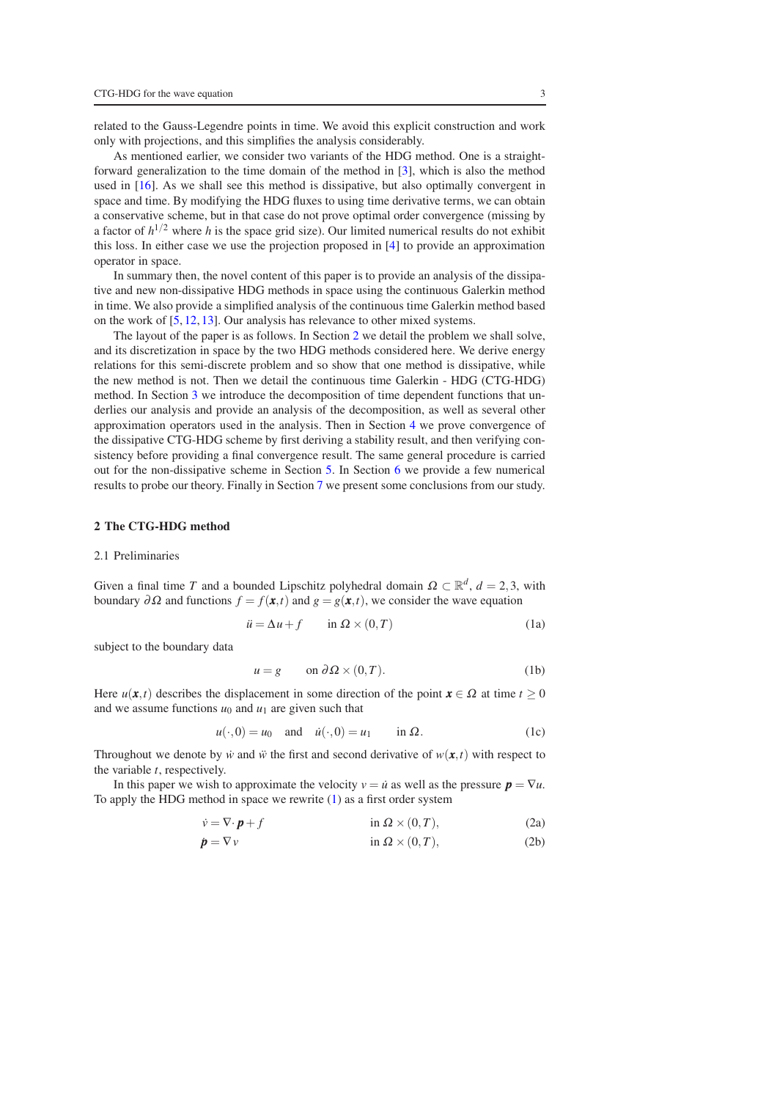related to the Gauss-Legendre points in time. We avoid this explicit construction and work only with projections, and this simplifies the analysis considerably.

As mentioned earlier, we consider two variants of the HDG method. One is a straightforward generalization to the time domain of the method in [\[3\]](#page-23-3), which is also the method used in [\[16\]](#page-23-1). As we shall see this method is dissipative, but also optimally convergent in space and time. By modifying the HDG fluxes to using time derivative terms, we can obtain a conservative scheme, but in that case do not prove optimal order convergence (missing by a factor of  $h^{1/2}$  where *h* is the space grid size). Our limited numerical results do not exhibit this loss. In either case we use the projection proposed in [\[4\]](#page-23-4) to provide an approximation operator in space.

In summary then, the novel content of this paper is to provide an analysis of the dissipative and new non-dissipative HDG methods in space using the continuous Galerkin method in time. We also provide a simplified analysis of the continuous time Galerkin method based on the work of [\[5,](#page-23-6) [12,](#page-23-7) [13\]](#page-23-8). Our analysis has relevance to other mixed systems.

The layout of the paper is as follows. In Section [2](#page-2-0) we detail the problem we shall solve, and its discretization in space by the two HDG methods considered here. We derive energy relations for this semi-discrete problem and so show that one method is dissipative, while the new method is not. Then we detail the continuous time Galerkin - HDG (CTG-HDG) method. In Section [3](#page-6-0) we introduce the decomposition of time dependent functions that underlies our analysis and provide an analysis of the decomposition, as well as several other approximation operators used in the analysis. Then in Section [4](#page-10-0) we prove convergence of the dissipative CTG-HDG scheme by first deriving a stability result, and then verifying consistency before providing a final convergence result. The same general procedure is carried out for the non-dissipative scheme in Section [5.](#page-15-0) In Section [6](#page-18-0) we provide a few numerical results to probe our theory. Finally in Section [7](#page-21-0) we present some conclusions from our study.

## <span id="page-2-5"></span><span id="page-2-0"></span>2 The CTG-HDG method

#### 2.1 Preliminaries

Given a final time *T* and a bounded Lipschitz polyhedral domain  $\Omega \subset \mathbb{R}^d$ ,  $d = 2, 3$ , with boundary  $\partial \Omega$  and functions  $f = f(x,t)$  and  $g = g(x,t)$ , we consider the wave equation

$$
\ddot{u} = \Delta u + f \qquad \text{in } \Omega \times (0, T) \tag{1a}
$$

subject to the boundary data

<span id="page-2-4"></span><span id="page-2-3"></span><span id="page-2-2"></span><span id="page-2-1"></span>
$$
u = g \qquad \text{on } \partial \Omega \times (0, T). \tag{1b}
$$

Here  $u(\mathbf{x},t)$  describes the displacement in some direction of the point  $\mathbf{x} \in \Omega$  at time  $t \geq 0$ and we assume functions  $u_0$  and  $u_1$  are given such that

$$
u(\cdot,0) = u_0 \quad \text{and} \quad \dot{u}(\cdot,0) = u_1 \quad \text{in } \Omega. \tag{1c}
$$

Throughout we denote by *i* and  $\ddot{w}$  the first and second derivative of  $w(\mathbf{x},t)$  with respect to the variable *t*, respectively.

In this paper we wish to approximate the velocity  $v = \dot{u}$  as well as the pressure  $p = \nabla u$ . To apply the HDG method in space we rewrite [\(1\)](#page-2-1) as a first order system

$$
\dot{v} = \nabla \cdot \boldsymbol{p} + f \qquad \text{in } \Omega \times (0, T), \tag{2a}
$$

$$
\dot{\mathbf{p}} = \nabla v \qquad \text{in } \Omega \times (0, T), \qquad (2b)
$$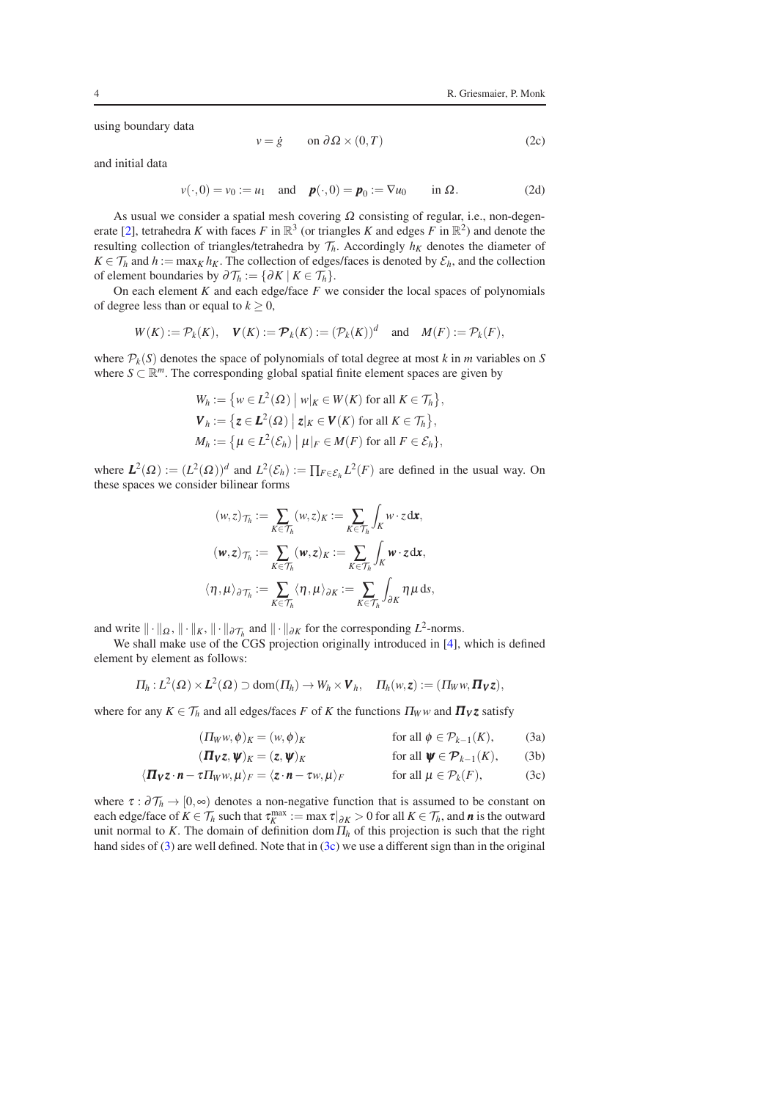using boundary data

$$
v = \dot{g} \qquad \text{on } \partial \Omega \times (0, T) \tag{2c}
$$

and initial data

$$
v(\cdot,0) = v_0 := u_1 \quad \text{and} \quad \boldsymbol{p}(\cdot,0) = \boldsymbol{p}_0 := \nabla u_0 \quad \text{in } \Omega. \tag{2d}
$$

As usual we consider a spatial mesh covering  $\Omega$  consisting of regular, i.e., non-degen-erate [\[2\]](#page-23-14), tetrahedra *K* with faces *F* in  $\mathbb{R}^3$  (or triangles *K* and edges *F* in  $\mathbb{R}^2$ ) and denote the resulting collection of triangles/tetrahedra by  $\mathcal{T}_h$ . Accordingly  $h_K$  denotes the diameter of  $K \in \mathcal{T}_h$  and  $h := \max_K h_K$ . The collection of edges/faces is denoted by  $\mathcal{E}_h$ , and the collection of element boundaries by  $\partial \mathcal{T}_h := \{ \partial K \mid K \in \mathcal{T}_h \}.$ 

On each element  $K$  and each edge/face  $F$  we consider the local spaces of polynomials of degree less than or equal to  $k \geq 0$ ,

$$
W(K) := \mathcal{P}_k(K), \quad \mathbf{V}(K) := \mathcal{P}_k(K) := (\mathcal{P}_k(K))^d \quad \text{and} \quad M(F) := \mathcal{P}_k(F),
$$

where  $P_k(S)$  denotes the space of polynomials of total degree at most *k* in *m* variables on *S* where  $S \subset \mathbb{R}^m$ . The corresponding global spatial finite element spaces are given by

$$
W_h := \{ w \in L^2(\Omega) \mid w|_K \in W(K) \text{ for all } K \in \mathcal{T}_h \},
$$
  

$$
\mathbf{V}_h := \{ \mathbf{z} \in L^2(\Omega) \mid \mathbf{z}|_K \in \mathbf{V}(K) \text{ for all } K \in \mathcal{T}_h \},
$$
  

$$
M_h := \{ \mu \in L^2(\mathcal{E}_h) \mid \mu|_F \in M(F) \text{ for all } F \in \mathcal{E}_h \},
$$

where  $L^2(\Omega) := (L^2(\Omega))^d$  and  $L^2(\mathcal{E}_h) := \prod_{F \in \mathcal{E}_h} L^2(F)$  are defined in the usual way. On these spaces we consider bilinear forms

$$
(w, z)_{\mathcal{T}_h} := \sum_{K \in \mathcal{T}_h} (w, z)_K := \sum_{K \in \mathcal{T}_h} \int_K w \cdot z \, \mathrm{d} \mathbf{x},
$$

$$
(\mathbf{w}, \mathbf{z})_{\mathcal{T}_h} := \sum_{K \in \mathcal{T}_h} (\mathbf{w}, \mathbf{z})_K := \sum_{K \in \mathcal{T}_h} \int_K \mathbf{w} \cdot \mathbf{z} \, \mathrm{d} \mathbf{x},
$$

$$
\langle \eta, \mu \rangle_{\partial \mathcal{T}_h} := \sum_{K \in \mathcal{T}_h} \langle \eta, \mu \rangle_{\partial K} := \sum_{K \in \mathcal{T}_h} \int_{\partial K} \eta \mu \, \mathrm{d} s,
$$

and write  $\|\cdot\|_{\Omega}$ ,  $\|\cdot\|_{K}$ ,  $\|\cdot\|_{\partial \mathcal{F}_h}$  and  $\|\cdot\|_{\partial K}$  for the corresponding  $L^2$ -norms.

We shall make use of the CGS projection originally introduced in [\[4\]](#page-23-4), which is defined element by element as follows:

$$
\Pi_h: L^2(\Omega)\times L^2(\Omega) \supset \text{dom}(\Pi_h) \to W_h \times V_h, \quad \Pi_h(w, z) := (\Pi_W w, \Pi_V z),
$$

where for any  $K \in \mathcal{T}_h$  and all edges/faces *F* of *K* the functions  $\Pi_W w$  and  $\Pi_V z$  satisfy

<span id="page-3-3"></span><span id="page-3-2"></span><span id="page-3-1"></span><span id="page-3-0"></span>
$$
(\Pi_W w, \phi)_K = (w, \phi)_K \qquad \text{for all } \phi \in \mathcal{P}_{k-1}(K), \tag{3a}
$$

$$
(\mathbf{\Pi}_{V}\mathbf{z},\mathbf{\Psi})_{K}=(\mathbf{z},\mathbf{\Psi})_{K} \quad \text{for all } \mathbf{\Psi} \in \mathcal{P}_{k-1}(K), \quad (3b)
$$

$$
\langle \mathbf{\Pi}_{V} \mathbf{z} \cdot \mathbf{n} - \tau \Pi_{W} w, \mu \rangle_{F} = \langle \mathbf{z} \cdot \mathbf{n} - \tau w, \mu \rangle_{F} \quad \text{for all } \mu \in \mathcal{P}_{k}(F), \tag{3c}
$$

where  $\tau : \partial \mathcal{T}_h \to [0,\infty)$  denotes a non-negative function that is assumed to be constant on each edge/face of  $K \in \mathcal{T}_h$  such that  $\tau_K^{\max} := \max \tau|_{\partial K} > 0$  for all  $K \in \mathcal{T}_h$ , and *n* is the outward unit normal to *K*. The domain of definition dom  $\Pi_h$  of this projection is such that the right hand sides of [\(3\)](#page-3-0) are well defined. Note that in [\(3c\)](#page-3-1) we use a different sign than in the original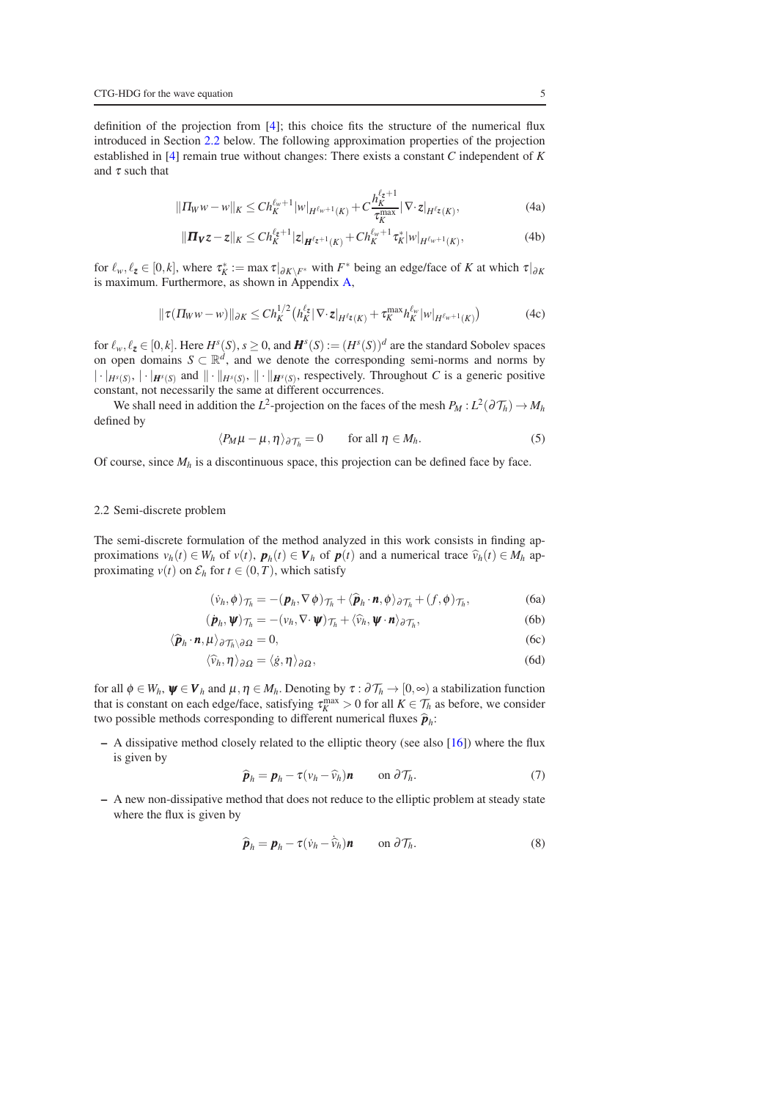definition of the projection from [\[4\]](#page-23-4); this choice fits the structure of the numerical flux introduced in Section [2.2](#page-4-0) below. The following approximation properties of the projection established in [\[4\]](#page-23-4) remain true without changes: There exists a constant *C* independent of *K* and  $\tau$  such that

$$
||\Pi_W w - w||_K \le Ch_K^{\ell_w + 1} |w|_{H^{\ell_w + 1}(K)} + C \frac{h_K^{\ell_z + 1}}{\tau_K^{\max}} |\nabla \cdot z|_{H^{\ell_z}(K)},
$$
\n(4a)

<span id="page-4-9"></span><span id="page-4-8"></span>
$$
\|\mathbf{\Pi}_{\mathbf{V}}\mathbf{z} - \mathbf{z}\|_{K} \leq Ch_{K}^{\ell_{z}+1}|\mathbf{z}|_{\mathbf{H}^{\ell_{z}+1}(K)} + Ch_{K}^{\ell_{w}+1}\tau_{K}^{*}|w|_{H^{\ell_{w}+1}(K)},
$$
\n(4b)

for  $\ell_w, \ell_z \in [0, k]$ , where  $\tau_K^* := \max \tau|_{\partial K \setminus F^*}$  with  $F^*$  being an edge/face of *K* at which  $\tau|_{\partial K}$ is maximum. Furthermore, as shown in Appendix [A,](#page-22-0)

<span id="page-4-10"></span>
$$
\|\tau(\Pi_W w - w)\|_{\partial K} \le Ch_K^{1/2} \left(h_K^{\ell_z} |\nabla \cdot z|_{H^{\ell_z}(K)} + \tau_K^{\max} h_K^{\ell_w} |w|_{H^{\ell_w+1}(K)}\right) \tag{4c}
$$

for  $\ell_w, \ell_z \in [0, k]$ . Here  $H^s(S)$ ,  $s \ge 0$ , and  $\mathbf{H}^s(S) := (H^s(S))^d$  are the standard Sobolev spaces on open domains  $S \subset \mathbb{R}^d$ , and we denote the corresponding semi-norms and norms by  $\|\cdot\|_{H^s(S)}$ ,  $\|\cdot\|_{H^s(S)}$  and  $\|\cdot\|_{H^s(S)}$ ,  $\|\cdot\|_{H^s(S)}$ , respectively. Throughout *C* is a generic positive constant, not necessarily the same at different occurrences.

We shall need in addition the  $L^2$ -projection on the faces of the mesh  $P_M : L^2(\partial \mathcal{T}_h) \to M_h$ defined by

<span id="page-4-7"></span>
$$
\langle P_M \mu - \mu, \eta \rangle_{\partial \mathcal{T}_h} = 0 \qquad \text{for all } \eta \in M_h. \tag{5}
$$

Of course, since  $M_h$  is a discontinuous space, this projection can be defined face by face.

## <span id="page-4-0"></span>2.2 Semi-discrete problem

The semi-discrete formulation of the method analyzed in this work consists in finding approximations  $v_h(t) \in W_h$  of  $v(t)$ ,  $p_h(t) \in V_h$  of  $p(t)$  and a numerical trace  $\hat{v}_h(t) \in M_h$  approximating  $v(t)$  on  $\mathcal{E}_h$  for  $t \in (0, T)$ , which satisfy

<span id="page-4-11"></span><span id="page-4-2"></span><span id="page-4-1"></span>
$$
(\dot{v}_h, \phi)_{\mathcal{T}_h} = -(\boldsymbol{p}_h, \nabla \phi)_{\mathcal{T}_h} + \langle \widehat{\boldsymbol{p}}_h \cdot \boldsymbol{n}, \phi \rangle_{\partial \mathcal{T}_h} + (f, \phi)_{\mathcal{T}_h},
$$
(6a)

$$
(\dot{\boldsymbol{p}}_h, \boldsymbol{\psi})_{\mathcal{T}_h} = -(\nu_h, \nabla \cdot \boldsymbol{\psi})_{\mathcal{T}_h} + \langle \widehat{\nu}_h, \boldsymbol{\psi} \cdot \boldsymbol{n} \rangle_{\partial \mathcal{T}_h},\tag{6b}
$$

$$
\langle \hat{\boldsymbol{p}}_h \cdot \boldsymbol{n}, \boldsymbol{\mu} \rangle_{\partial \mathcal{T}_h \setminus \partial \Omega} = 0, \tag{6c}
$$

$$
\langle \widehat{\nu}_h, \eta \rangle_{\partial \Omega} = \langle \dot{g}, \eta \rangle_{\partial \Omega}, \tag{6d}
$$

for all  $\phi \in W_h$ ,  $\psi \in V_h$  and  $\mu, \eta \in M_h$ . Denoting by  $\tau : \partial \mathcal{T}_h \to [0, \infty)$  a stabilization function that is constant on each edge/face, satisfying  $\tau_K^{\text{max}} > 0$  for all  $K \in \mathcal{T}_h$  as before, we consider two possible methods corresponding to different numerical fluxes  $\hat{\boldsymbol{p}}_h$ :

 $-$  A dissipative method closely related to the elliptic theory (see also [\[16\]](#page-23-1)) where the flux is given by

<span id="page-4-5"></span><span id="page-4-4"></span><span id="page-4-3"></span>
$$
\widehat{\boldsymbol{p}}_h = \boldsymbol{p}_h - \tau (\nu_h - \widehat{\nu}_h) \boldsymbol{n} \qquad \text{on } \partial \mathcal{T}_h. \tag{7}
$$

– A new non-dissipative method that does not reduce to the elliptic problem at steady state where the flux is given by

<span id="page-4-6"></span>
$$
\widehat{\boldsymbol{p}}_h = \boldsymbol{p}_h - \tau (\dot{v}_h - \dot{\widehat{v}}_h) \boldsymbol{n} \qquad \text{on } \partial \mathcal{T}_h. \tag{8}
$$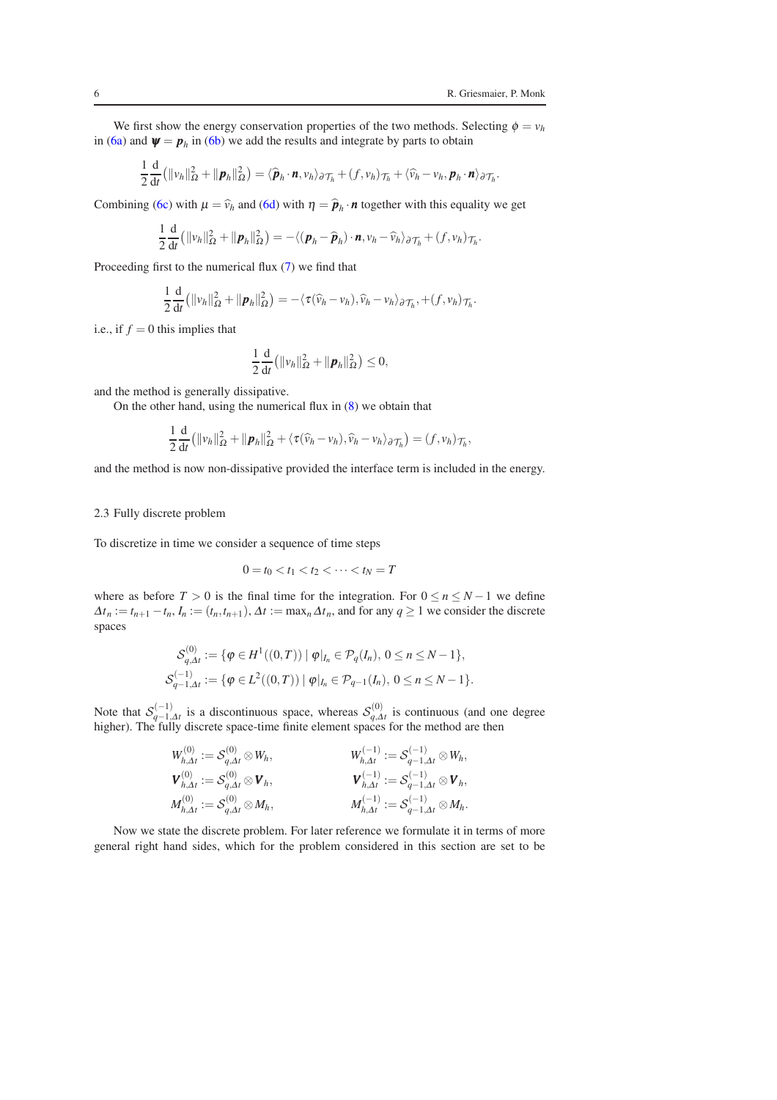.

We first show the energy conservation properties of the two methods. Selecting  $\phi = v_h$ in [\(6a\)](#page-4-1) and  $\psi = p_h$  in [\(6b\)](#page-4-2) we add the results and integrate by parts to obtain

$$
\frac{1}{2}\frac{\mathrm{d}}{\mathrm{d}t}\big(\|v_h\|_{\Omega}^2 + \|\boldsymbol{p}_h\|_{\Omega}^2\big) = \langle\widehat{\boldsymbol{p}}_h\cdot\boldsymbol{n},v_h\rangle_{\partial\mathcal{T}_h} + (f,v_h)_{\mathcal{T}_h} + \langle\widehat{v}_h-v_h,\boldsymbol{p}_h\cdot\boldsymbol{n}\rangle_{\partial\mathcal{T}_h}
$$

Combining [\(6c\)](#page-4-3) with  $\mu = \hat{v}_h$  and [\(6d\)](#page-4-4) with  $\eta = \hat{p}_h \cdot n$  together with this equality we get

$$
\frac{1}{2}\frac{\mathrm{d}}{\mathrm{d}t}\big(\|\nu_h\|_{\Omega}^2 + \|\boldsymbol{p}_h\|_{\Omega}^2\big) = -\langle(\boldsymbol{p}_h - \widehat{\boldsymbol{p}}_h)\cdot\boldsymbol{n},\nu_h - \widehat{\nu}_h\rangle_{\partial\mathcal{T}_h} + (f,\nu_h)_{\mathcal{T}_h}.
$$

Proceeding first to the numerical flux [\(7\)](#page-4-5) we find that

$$
\frac{1}{2}\frac{\mathrm{d}}{\mathrm{d}t}\big(\|v_h\|_{\Omega}^2+\|\boldsymbol{p}_h\|_{\Omega}^2\big)=-\langle\tau(\widehat{v}_h-v_h),\widehat{v}_h-v_h\rangle_{\partial\mathcal{T}_h},+(f,v_h)_{\mathcal{T}_h}.
$$

i.e., if  $f = 0$  this implies that

$$
\frac{1}{2}\frac{\mathrm{d}}{\mathrm{d}t}\big(\|\mathbf{v}_h\|_{\Omega}^2 + \|\boldsymbol{p}_h\|_{\Omega}^2\big) \leq 0,
$$

and the method is generally dissipative.

On the other hand, using the numerical flux in [\(8\)](#page-4-6) we obtain that

$$
\frac{1}{2}\frac{\mathrm{d}}{\mathrm{d}t}\big(\|v_h\|_{\Omega}^2 + \|\boldsymbol{p}_h\|_{\Omega}^2 + \langle \tau(\widehat{v}_h - v_h), \widehat{v}_h - v_h \rangle_{\partial \mathcal{T}_h}\big) = (f, v_h)_{\mathcal{T}_h},
$$

and the method is now non-dissipative provided the interface term is included in the energy.

## 2.3 Fully discrete problem

To discretize in time we consider a sequence of time steps

$$
0 = t_0 < t_1 < t_2 < \cdots < t_N = T
$$

where as before  $T > 0$  is the final time for the integration. For  $0 \le n \le N - 1$  we define  $\Delta t_n := t_{n+1} - t_n, I_n := (t_n, t_{n+1}), \Delta t := \max_n \Delta t_n$ , and for any  $q \ge 1$  we consider the discrete spaces

$$
\mathcal{S}_{q,\Delta t}^{(0)} := \{ \varphi \in H^1((0,T)) \mid \varphi|_{I_n} \in \mathcal{P}_q(I_n), \ 0 \le n \le N-1 \},
$$
  

$$
\mathcal{S}_{q-1,\Delta t}^{(-1)} := \{ \varphi \in L^2((0,T)) \mid \varphi|_{I_n} \in \mathcal{P}_{q-1}(I_n), \ 0 \le n \le N-1 \}.
$$

Note that  $S_{q-1,\Delta t}^{(-1)}$  is a discontinuous space, whereas  $S_{q,\Delta t}^{(0)}$  is continuous (and one degree higher). The fully discrete space-time finite element spaces for the method are then

$$
W_{h,\Delta t}^{(0)} := S_{q,\Delta t}^{(0)} \otimes W_h, \qquad W_{h,\Delta t}^{(-1)} := S_{q-1,\Delta t}^{(-1)} \otimes W_h,
$$
  
\n
$$
V_{h,\Delta t}^{(0)} := S_{q,\Delta t}^{(0)} \otimes V_h, \qquad V_{h,\Delta t}^{(-1)} := S_{q-1,\Delta t}^{(-1)} \otimes V_h,
$$
  
\n
$$
M_{h,\Delta t}^{(0)} := S_{q,\Delta t}^{(0)} \otimes M_h, \qquad M_{h,\Delta t}^{(-1)} := S_{q-1,\Delta t}^{(-1)} \otimes M_h.
$$

Now we state the discrete problem. For later reference we formulate it in terms of more general right hand sides, which for the problem considered in this section are set to be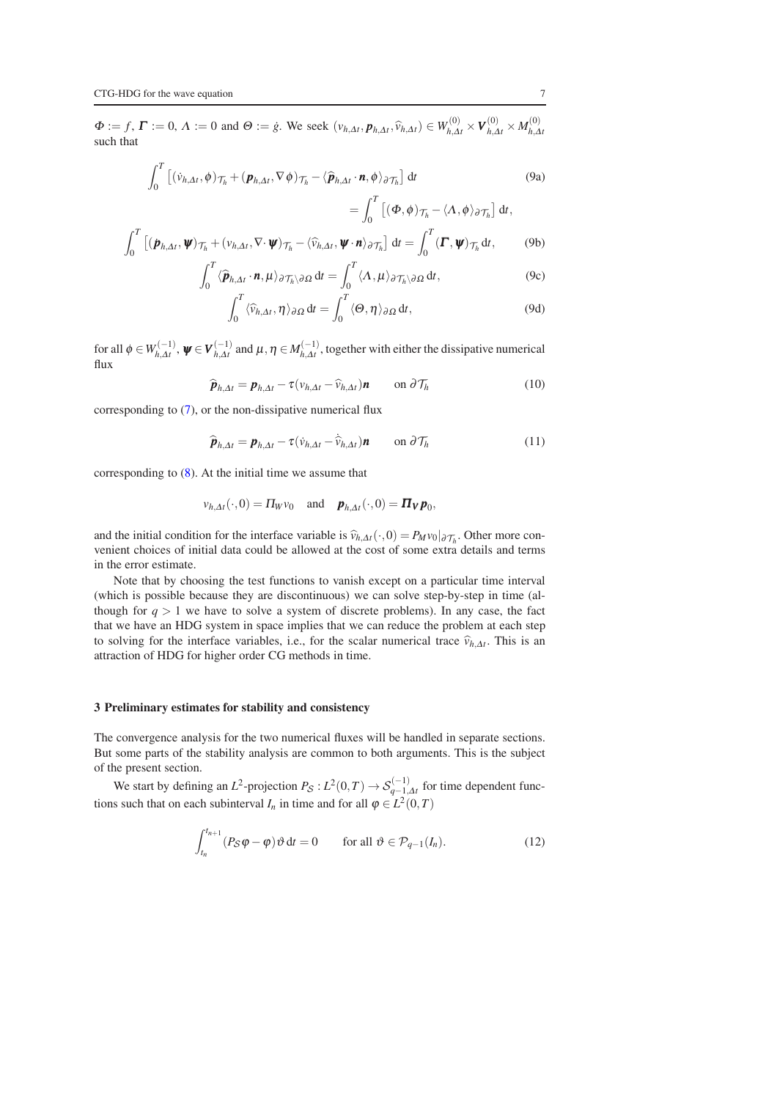$\Phi := f, \Gamma := 0, \Lambda := 0$  and  $\Theta := \dot{g}$ . We seek  $(v_{h, \Delta t}, p_{h, \Delta t}, \hat{v}_{h, \Delta t}) \in W_{h, \Delta t}^{(0)} \times V_{h, \Delta t}^{(0)} \times M_{h, \Delta t}^{(0)}$ *h*,∆*t* such that

<span id="page-6-1"></span>
$$
\int_0^T \left[ (\dot{v}_{h,\Delta t}, \phi)_{\mathcal{T}_h} + (\boldsymbol{p}_{h,\Delta t}, \nabla \phi)_{\mathcal{T}_h} - \langle \widehat{\boldsymbol{p}}_{h,\Delta t} \cdot \boldsymbol{n}, \phi \rangle_{\partial \mathcal{T}_h} \right] dt
$$
 (9a)

<span id="page-6-7"></span><span id="page-6-6"></span><span id="page-6-5"></span><span id="page-6-4"></span>
$$
= \int_0^T \left[ (\boldsymbol{\Phi}, \boldsymbol{\phi}) \mathbf{\tau}_h - \langle \Lambda, \boldsymbol{\phi} \rangle_{\partial \mathcal{T}_h} \right] dt,
$$

$$
\int_0^T \left[ (\dot{\boldsymbol{p}}_{h,\Delta t}, \boldsymbol{\psi})_{\mathcal{T}_h} + (\nu_{h,\Delta t}, \nabla \cdot \boldsymbol{\psi})_{\mathcal{T}_h} - \langle \widehat{\nu}_{h,\Delta t}, \boldsymbol{\psi} \cdot \boldsymbol{n} \rangle_{\partial \mathcal{T}_h} \right] dt = \int_0^T (\boldsymbol{\Gamma}, \boldsymbol{\psi})_{\mathcal{T}_h} dt, \tag{9b}
$$

$$
\int_0^T \langle \widehat{\boldsymbol{p}}_{h,\Delta t} \cdot \boldsymbol{n}, \mu \rangle_{\partial \mathcal{T}_h \setminus \partial \Omega} dt = \int_0^T \langle \Lambda, \mu \rangle_{\partial \mathcal{T}_h \setminus \partial \Omega} dt, \tag{9c}
$$

$$
\int_0^T \langle \widehat{v}_{h,\Delta t}, \eta \rangle_{\partial \Omega} dt = \int_0^T \langle \Theta, \eta \rangle_{\partial \Omega} dt, \tag{9d}
$$

for all  $\phi \in W_{h,\Delta t}^{(-1)}$ ,  $\psi \in V_{h,\Delta t}^{(-1)}$  and  $\mu, \eta \in M_{h,\Delta t}^{(-1)}$ , together with either the dissipative numerical flux

<span id="page-6-2"></span>
$$
\widehat{\boldsymbol{p}}_{h,\Delta t} = \boldsymbol{p}_{h,\Delta t} - \tau (v_{h,\Delta t} - \widehat{v}_{h,\Delta t}) \boldsymbol{n} \qquad \text{on } \partial \mathcal{T}_h \tag{10}
$$

corresponding to [\(7\)](#page-4-5), or the non-dissipative numerical flux

<span id="page-6-8"></span>
$$
\widehat{\boldsymbol{p}}_{h,\Delta t} = \boldsymbol{p}_{h,\Delta t} - \tau (\dot{v}_{h,\Delta t} - \hat{v}_{h,\Delta t}) \boldsymbol{n} \qquad \text{on } \partial \mathcal{T}_h \tag{11}
$$

corresponding to [\(8\)](#page-4-6). At the initial time we assume that

$$
v_{h,\Delta t}(\cdot,0) = \Pi_W v_0
$$
 and  $\boldsymbol{p}_{h,\Delta t}(\cdot,0) = \boldsymbol{\Pi_V p}_0$ ,

and the initial condition for the interface variable is  $\hat{v}_{h,\Delta t}(\cdot,0) = P_M v_0|_{\partial \mathcal{T}_h}$ . Other more convenient choices of initial data could be allowed at the cost of some extra details and terms in the error estimate.

Note that by choosing the test functions to vanish except on a particular time interval (which is possible because they are discontinuous) we can solve step-by-step in time (although for  $q > 1$  we have to solve a system of discrete problems). In any case, the fact that we have an HDG system in space implies that we can reduce the problem at each step to solving for the interface variables, i.e., for the scalar numerical trace  $\hat{v}_{h,\Delta t}$ . This is an attraction of HDG for higher order CG methods in time.

## <span id="page-6-0"></span>3 Preliminary estimates for stability and consistency

The convergence analysis for the two numerical fluxes will be handled in separate sections. But some parts of the stability analysis are common to both arguments. This is the subject of the present section.

We start by defining an  $L^2$ -projection  $P_S: L^2(0,T) \to \mathcal{S}_{q-1,\Delta t}^{(-1)}$  for time dependent functions such that on each subinterval  $I_n$  in time and for all  $\varphi \in L^2(0,T)$ 

<span id="page-6-3"></span>
$$
\int_{t_n}^{t_{n+1}} (P_S \varphi - \varphi) \vartheta \, dt = 0 \qquad \text{for all } \vartheta \in \mathcal{P}_{q-1}(I_n). \tag{12}
$$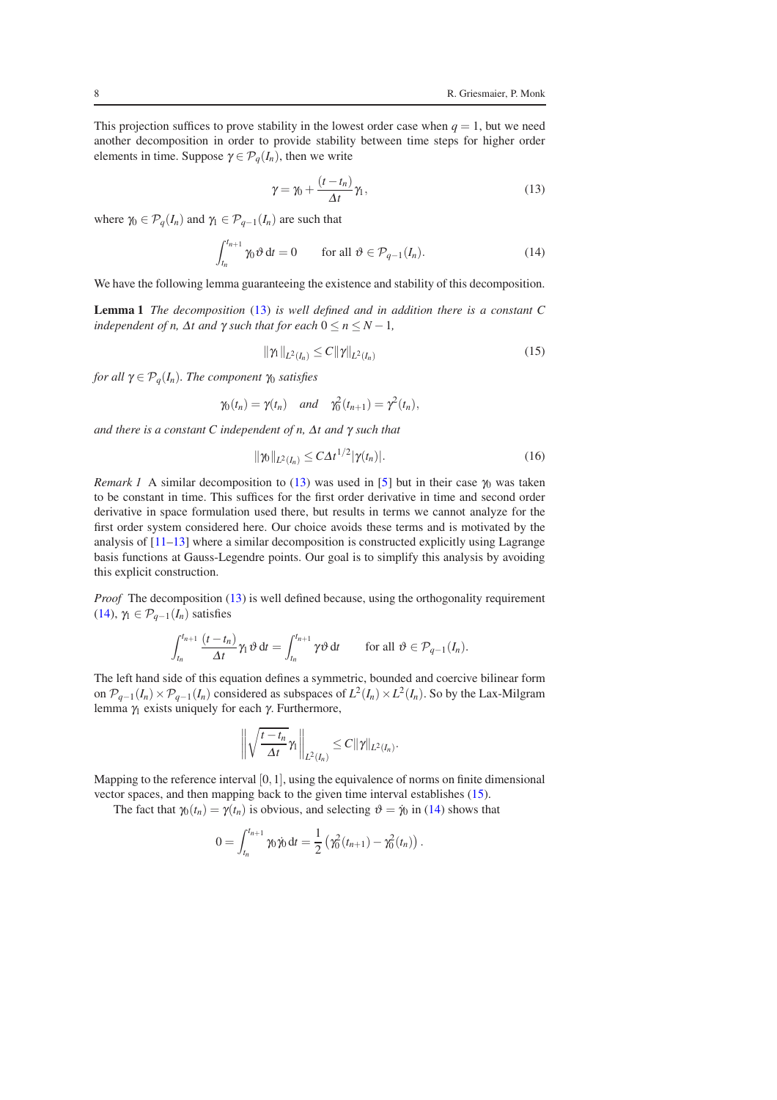This projection suffices to prove stability in the lowest order case when  $q = 1$ , but we need another decomposition in order to provide stability between time steps for higher order elements in time. Suppose  $\gamma \in \mathcal{P}_q(I_n)$ , then we write

<span id="page-7-0"></span>
$$
\gamma = \gamma_0 + \frac{(t - t_n)}{\Delta t} \gamma_1,\tag{13}
$$

where  $\gamma_0 \in \mathcal{P}_q(I_n)$  and  $\gamma_1 \in \mathcal{P}_{q-1}(I_n)$  are such that

<span id="page-7-1"></span>
$$
\int_{t_n}^{t_{n+1}} \gamma_0 \vartheta \, dt = 0 \qquad \text{for all } \vartheta \in \mathcal{P}_{q-1}(I_n). \tag{14}
$$

We have the following lemma guaranteeing the existence and stability of this decomposition.

Lemma 1 *The decomposition* [\(13\)](#page-7-0) *is well defined and in addition there is a constant C independent of n,*  $\Delta t$  *and*  $\gamma$  *such that for each*  $0 \le n \le N - 1$ *,* 

<span id="page-7-2"></span>
$$
\|\gamma_{1}\|_{L^{2}(I_{n})} \leq C \|\gamma\|_{L^{2}(I_{n})}
$$
\n(15)

*for all*  $\gamma \in \mathcal{P}_q(I_n)$ *. The component*  $\gamma_0$  *satisfies* 

$$
\gamma_0(t_n) = \gamma(t_n)
$$
 and  $\gamma_0^2(t_{n+1}) = \gamma^2(t_n)$ ,

*and there is a constant C independent of n,* <sup>∆</sup>*t and* γ *such that*

<span id="page-7-3"></span>
$$
\|\gamma_0\|_{L^2(I_n)} \le C\Delta t^{1/2}|\gamma(t_n)|. \tag{16}
$$

*Remark 1* A similar decomposition to [\(13\)](#page-7-0) was used in [\[5\]](#page-23-6) but in their case  $\gamma_0$  was taken to be constant in time. This suffices for the first order derivative in time and second order derivative in space formulation used there, but results in terms we cannot analyze for the first order system considered here. Our choice avoids these terms and is motivated by the analysis of  $[11-13]$  where a similar decomposition is constructed explicitly using Lagrange basis functions at Gauss-Legendre points. Our goal is to simplify this analysis by avoiding this explicit construction.

*Proof* The decomposition [\(13\)](#page-7-0) is well defined because, using the orthogonality requirement [\(14\)](#page-7-1),  $\gamma_1 \in \mathcal{P}_{q-1}(I_n)$  satisfies

$$
\int_{t_n}^{t_{n+1}} \frac{(t-t_n)}{\Delta t} \gamma_1 \vartheta \, dt = \int_{t_n}^{t_{n+1}} \gamma \vartheta \, dt \quad \text{for all } \vartheta \in \mathcal{P}_{q-1}(I_n).
$$

The left hand side of this equation defines a symmetric, bounded and coercive bilinear form on  $\mathcal{P}_{q-1}(I_n) \times \mathcal{P}_{q-1}(I_n)$  considered as subspaces of  $L^2(I_n) \times L^2(I_n)$ . So by the Lax-Milgram lemma  $γ_1$  exists uniquely for each  $γ$ . Furthermore,

$$
\left\|\sqrt{\frac{t-t_n}{\Delta t}}\gamma_1\right\|_{L^2(I_n)}\leq C\|\gamma\|_{L^2(I_n)}.
$$

Mapping to the reference interval [0, 1], using the equivalence of norms on finite dimensional vector spaces, and then mapping back to the given time interval establishes [\(15\)](#page-7-2).

The fact that  $\gamma_0(t_n) = \gamma(t_n)$  is obvious, and selecting  $\vartheta = \dot{\gamma}_0$  in [\(14\)](#page-7-1) shows that

$$
0 = \int_{t_n}^{t_{n+1}} \gamma_0 \dot{\gamma}_0 dt = \frac{1}{2} \left( \gamma_0^2(t_{n+1}) - \gamma_0^2(t_n) \right).
$$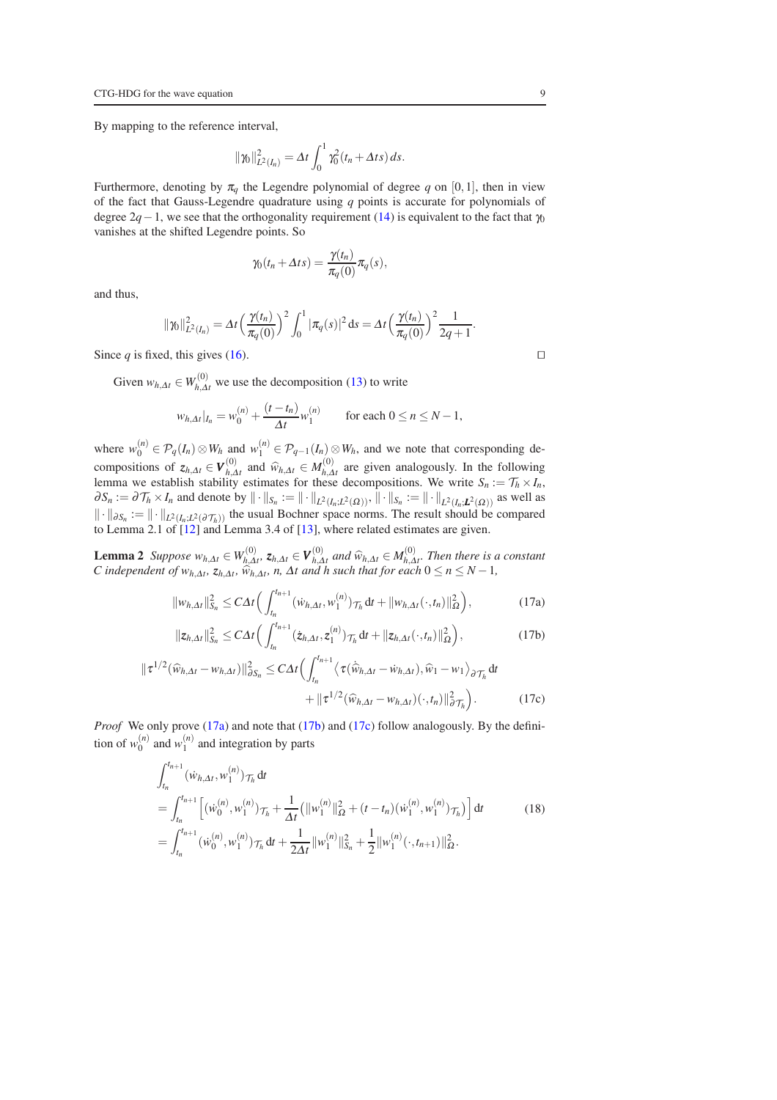By mapping to the reference interval,

$$
\|\gamma_0\|_{L^2(I_n)}^2 = \Delta t \int_0^1 \gamma_0^2(t_n + \Delta t s) ds.
$$

Furthermore, denoting by  $\pi_q$  the Legendre polynomial of degree q on [0,1], then in view of the fact that Gauss-Legendre quadrature using *q* points is accurate for polynomials of degree  $2q-1$ , we see that the orthogonality requirement [\(14\)](#page-7-1) is equivalent to the fact that  $\gamma_0$ vanishes at the shifted Legendre points. So

$$
\gamma_0(t_n + \Delta t s) = \frac{\gamma(t_n)}{\pi_q(0)} \pi_q(s),
$$

and thus,

$$
\gamma_0\|_{L^2(I_n)}^2 = \Delta t \left(\frac{\gamma(t_n)}{\pi_q(0)}\right)^2 \int_0^1 |\pi_q(s)|^2 \, ds = \Delta t \left(\frac{\gamma(t_n)}{\pi_q(0)}\right)^2 \frac{1}{2q+1}.
$$

Since *q* is fixed, this gives [\(16\)](#page-7-3). □

 $\parallel$ 

Given  $w_{h,\Delta t} \in W_{h,\Delta t}^{(0)}$  we use the decomposition [\(13\)](#page-7-0) to write

$$
w_{h,\Delta t}|_{I_n} = w_0^{(n)} + \frac{(t - t_n)}{\Delta t} w_1^{(n)} \quad \text{for each } 0 \le n \le N - 1,
$$

where  $w_0^{(n)} \in \mathcal{P}_q(I_n) \otimes W_h$  and  $w_1^{(n)} \in \mathcal{P}_{q-1}(I_n) \otimes W_h$ , and we note that corresponding decompositions of  $z_{h,\Delta t} \in V_{h,\Delta t}^{(0)}$  and  $\widehat{w}_{h,\Delta t} \in M_{h,\Delta t}^{(0)}$  are given analogously. In the following lemma we establish stability estimates for these decompositions. We write  $S_n := \mathcal{T}_h \times I_n$ ,  $\partial S_n := \partial \mathcal{T}_h \times I_n$  and denote by  $\|\cdot\|_{S_n} := \|\cdot\|_{L^2(I_n;L^2(\Omega))}, \|\cdot\|_{S_n} := \|\cdot\|_{L^2(I_n;L^2(\Omega))}$  as well as  $\| \cdot \|_{\partial S_n} := \| \cdot \|_{L^2(I_n; L^2(\partial \mathcal{T}_h))}$  the usual Bochner space norms. The result should be compared to Lemma 2.1 of [\[12\]](#page-23-7) and Lemma 3.4 of [\[13\]](#page-23-8), where related estimates are given.

**Lemma 2** *Suppose*  $w_{h,\Delta t} \in W_{h,\Delta}^{(0)}$ *h*,∆*t , zh*,∆*<sup>t</sup>* ∈ *V* (0) *(0) and*  $\widehat{w}_{h,\Delta t}$  ∈  $M_{h,\Delta t}^{(0)}$ *h*,∆*t . Then there is a constant C* independent of  $w_{h,\Delta t}$ ,  $z_{h,\Delta t}$ ,  $\widehat{w}_{h,\Delta t}$ , *n*,  $\Delta t$  and *h* such that for each  $0 \le n \le N - 1$ ,

<span id="page-8-4"></span><span id="page-8-0"></span>
$$
\|w_{h,\Delta t}\|_{S_n}^2 \le C\Delta t \Big(\int_{t_n}^{t_{n+1}} (\dot{w}_{h,\Delta t}, w_1^{(n)}) \mathcal{T}_h \, dt + \|w_{h,\Delta t}(\cdot, t_n)\|_{\Omega}^2\Big),\tag{17a}
$$

<span id="page-8-2"></span><span id="page-8-1"></span>
$$
\|z_{h,\Delta t}\|_{S_n}^2 \leq C\Delta t \Big(\int_{t_n}^{t_{n+1}} (\dot{z}_{h,\Delta t}, z_1^{(n)}) \mathcal{T}_h \,dt + \|z_{h,\Delta t}(\cdot, t_n)\|_{\Omega}^2\Big), \tag{17b}
$$

$$
\|\tau^{1/2}(\widehat{w}_{h,\Delta t} - w_{h,\Delta t})\|_{\partial S_n}^2 \le C\Delta t \Big(\int_{t_n}^{t_{n+1}} \langle \tau(\widehat{w}_{h,\Delta t} - \dot{w}_{h,\Delta t}), \widehat{w}_1 - w_1 \rangle_{\partial \mathcal{T}_h} dt + \|\tau^{1/2}(\widehat{w}_{h,\Delta t} - w_{h,\Delta t})(\cdot, t_n)\|_{\partial \mathcal{T}_h}^2\Big).
$$
(17c)

*Proof* We only prove [\(17a\)](#page-8-0) and note that [\(17b\)](#page-8-1) and [\(17c\)](#page-8-2) follow analogously. By the definition of  $w_0^{(n)}$  and  $w_1^{(n)}$  and integration by parts

<span id="page-8-3"></span>
$$
\int_{t_n}^{t_{n+1}} (\dot{w}_{h,\Delta t}, w_1^{(n)}) \tau_h dt
$$
\n
$$
= \int_{t_n}^{t_{n+1}} \left[ (\dot{w}_0^{(n)}, w_1^{(n)}) \tau_h + \frac{1}{\Delta t} (\|w_1^{(n)}\|_{\Omega}^2 + (t - t_n) (\dot{w}_1^{(n)}, w_1^{(n)}) \tau_h) \right] dt
$$
\n
$$
= \int_{t_n}^{t_{n+1}} (\dot{w}_0^{(n)}, w_1^{(n)}) \tau_h dt + \frac{1}{2\Delta t} \|w_1^{(n)}\|_{S_n}^2 + \frac{1}{2} \|w_1^{(n)}(\cdot, t_{n+1})\|_{\Omega}^2.
$$
\n(18)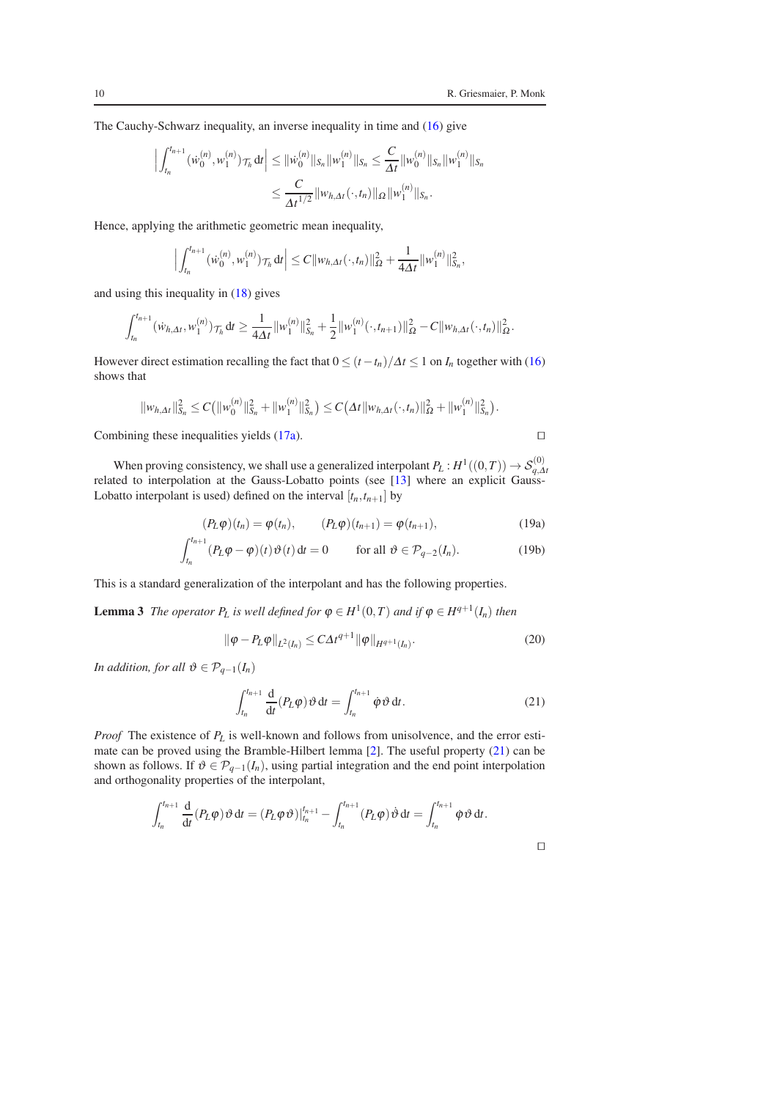The Cauchy-Schwarz inequality, an inverse inequality in time and [\(16\)](#page-7-3) give

$$
\left| \int_{t_n}^{t_{n+1}} (\dot{w}_0^{(n)}, w_1^{(n)}) \tau_h \, \mathrm{d}t \right| \leq \| \dot{w}_0^{(n)} \|_{S_n} \| w_1^{(n)} \|_{S_n} \leq \frac{C}{\Delta t} \| w_0^{(n)} \|_{S_n} \| w_1^{(n)} \|_{S_n}
$$

$$
\leq \frac{C}{\Delta t^{1/2}} \| w_{h, \Delta t} (\cdot, t_n) \|_{\Omega} \| w_1^{(n)} \|_{S_n}.
$$

Hence, applying the arithmetic geometric mean inequality,

$$
\Big|\int_{t_n}^{t_{n+1}} (\dot{w}_0^{(n)}, w_1^{(n)}) \tau_h dt \Big| \leq C \|w_{h, \Delta t}(\cdot, t_n)\|_{\Omega}^2 + \frac{1}{4\Delta t} \|w_1^{(n)}\|_{S_n}^2,
$$

and using this inequality in [\(18\)](#page-8-3) gives

$$
\int_{t_n}^{t_{n+1}} (\dot{w}_{h,\Delta t}, w_1^{(n)}) \tau_h dt \geq \frac{1}{4\Delta t} ||w_1^{(n)}||_{S_n}^2 + \frac{1}{2} ||w_1^{(n)}(\cdot, t_{n+1})||_{\Omega}^2 - C ||w_{h,\Delta t}(\cdot, t_n)||_{\Omega}^2.
$$

However direct estimation recalling the fact that  $0 \le (t - t_n)/\Delta t \le 1$  on  $I_n$  together with [\(16\)](#page-7-3) shows that

$$
||w_{h,\Delta t}||_{S_n}^2 \leq C(||w_0^{(n)}||_{S_n}^2 + ||w_1^{(n)}||_{S_n}^2) \leq C(\Delta t ||w_{h,\Delta t}(\cdot,t_n)||_{\Omega}^2 + ||w_1^{(n)}||_{S_n}^2).
$$

Combining these inequalities yields [\(17a\)](#page-8-0). □

<span id="page-9-1"></span>

⊓⊔

When proving consistency, we shall use a generalized interpolant  $P_L: H^1((0,T)) \to \mathcal{S}_{q,\Delta t}^{(0)}$ related to interpolation at the Gauss-Lobatto points (see [\[13\]](#page-23-8) where an explicit Gauss-Lobatto interpolant is used) defined on the interval  $[t_n, t_{n+1}]$  by

$$
(P_L \varphi)(t_n) = \varphi(t_n), \qquad (P_L \varphi)(t_{n+1}) = \varphi(t_{n+1}), \qquad (19a)
$$

$$
\int_{t_n}^{t_{n+1}} (P_L \varphi - \varphi)(t) \vartheta(t) dt = 0 \quad \text{for all } \vartheta \in \mathcal{P}_{q-2}(I_n). \tag{19b}
$$

This is a standard generalization of the interpolant and has the following properties.

**Lemma 3** *The operator*  $P_L$  *is well defined for*  $\varphi \in H^1(0,T)$  *and if*  $\varphi \in H^{q+1}(I_n)$  *then* 

<span id="page-9-2"></span>
$$
\|\varphi - P_L \varphi\|_{L^2(I_n)} \le C \Delta t^{q+1} \|\varphi\|_{H^{q+1}(I_n)}.
$$
\n(20)

*In addition, for all*  $\vartheta \in \mathcal{P}_{q-1}(I_n)$ 

<span id="page-9-0"></span>
$$
\int_{t_n}^{t_{n+1}} \frac{\mathrm{d}}{\mathrm{d}t} (P_L \varphi) \vartheta \, \mathrm{d}t = \int_{t_n}^{t_{n+1}} \varphi \vartheta \, \mathrm{d}t. \tag{21}
$$

*Proof* The existence of *P<sup>L</sup>* is well-known and follows from unisolvence, and the error estimate can be proved using the Bramble-Hilbert lemma [\[2\]](#page-23-14). The useful property [\(21\)](#page-9-0) can be shown as follows. If  $\vartheta \in \mathcal{P}_{q-1}(I_n)$ , using partial integration and the end point interpolation and orthogonality properties of the interpolant,

$$
\int_{t_n}^{t_{n+1}} \frac{\mathrm{d}}{\mathrm{d}t}(P_L \varphi) \,\vartheta \,\mathrm{d}t = (P_L \varphi \,\vartheta)|_{t_n}^{t_{n+1}} - \int_{t_n}^{t_{n+1}} (P_L \varphi) \,\vartheta \,\mathrm{d}t = \int_{t_n}^{t_{n+1}} \varphi \,\vartheta \,\mathrm{d}t.
$$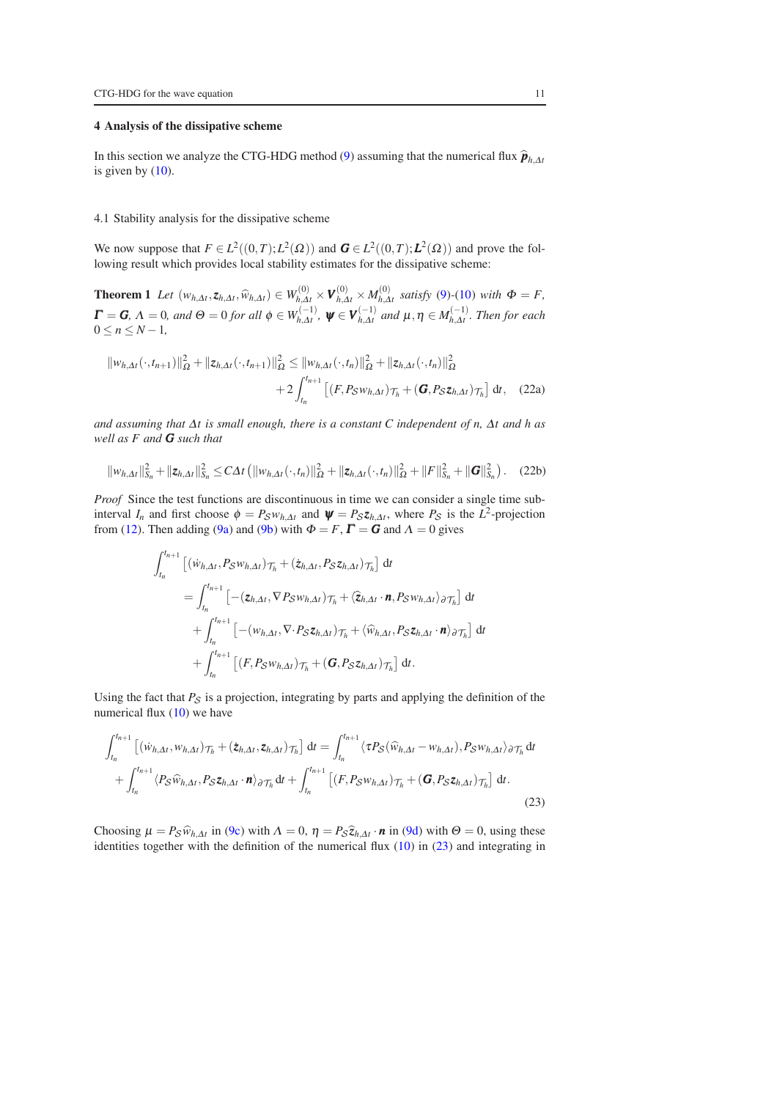## <span id="page-10-0"></span>4 Analysis of the dissipative scheme

In this section we analyze the CTG-HDG method [\(9\)](#page-6-1) assuming that the numerical flux  $\hat{\boldsymbol{p}}_{h,\Delta t}$ is given by  $(10)$ .

#### <span id="page-10-6"></span>4.1 Stability analysis for the dissipative scheme

<span id="page-10-5"></span>We now suppose that  $F \in L^2((0,T); L^2(\Omega))$  and  $G \in L^2((0,T); L^2(\Omega))$  and prove the following result which provides local stability estimates for the dissipative scheme:

**Theorem 1** Let  $(w_{h,\Delta t}, z_{h,\Delta t}, \widehat{w}_{h,\Delta t}) \in W_{h,\Delta t}^{(0)} \times V_{h,\Delta t}^{(0)} \times M_{h,\Delta t}^{(0)}$  satisfy [\(9\)](#page-6-1)-[\(10\)](#page-6-2) with  $\Phi = F$ ,  $\bm{\Gamma} = \bm{G}, \, \Lambda = 0, \, \textit{and} \,\, \Theta = 0 \, \textit{for all} \,\, \phi \in W_{h,\Delta t}^{(-1)}, \,\, \bm{\psi} \in \bm{V}_{h,\Delta t}^{(-1)} \,\, \textit{and} \,\, \mu, \eta \in M_{h,\Delta t}^{(-1)}.$  Then for each  $0 \leq n \leq N-1$ ,

<span id="page-10-4"></span>
$$
||w_{h,\Delta t}(\cdot,t_{n+1})||_{\Omega}^2 + ||z_{h,\Delta t}(\cdot,t_{n+1})||_{\Omega}^2 \le ||w_{h,\Delta t}(\cdot,t_n)||_{\Omega}^2 + ||z_{h,\Delta t}(\cdot,t_n)||_{\Omega}^2
$$
  
+2
$$
\int_{t_n}^{t_{n+1}} [(F, P_S w_{h,\Delta t})_{\mathcal{T}_h} + (\mathbf{G}, P_S z_{h,\Delta t})_{\mathcal{T}_h}] dt, (22a)
$$

*and assuming that* <sup>∆</sup>*t is small enough, there is a constant C independent of n,* <sup>∆</sup>*t and h as well as F and G such that*

$$
||w_{h,\Delta t}||_{S_n}^2 + ||z_{h,\Delta t}||_{S_n}^2 \le C\Delta t \left( ||w_{h,\Delta t}(\cdot,t_n)||_{\Omega}^2 + ||z_{h,\Delta t}(\cdot,t_n)||_{\Omega}^2 + ||F||_{S_n}^2 + ||G||_{S_n}^2 \right). \tag{22b}
$$

*Proof* Since the test functions are discontinuous in time we can consider a single time subinterval *I<sub>n</sub>* and first choose  $\phi = P_S w_{h,\Delta t}$  and  $\psi = P_S z_{h,\Delta t}$ , where  $P_S$  is the  $L^2$ -projection from [\(12\)](#page-6-3). Then adding [\(9a\)](#page-6-4) and [\(9b\)](#page-6-5) with  $\Phi = F$ ,  $\Gamma = G$  and  $\Lambda = 0$  gives

<span id="page-10-3"></span><span id="page-10-2"></span>
$$
\int_{t_n}^{t_{n+1}} \left[ (\dot{w}_{h,\Delta t}, P_S w_{h,\Delta t}) \mathcal{T}_h + (\dot{z}_{h,\Delta t}, P_S z_{h,\Delta t}) \mathcal{T}_h \right] dt
$$
\n
$$
= \int_{t_n}^{t_{n+1}} \left[ -(z_{h,\Delta t}, \nabla P_S w_{h,\Delta t}) \mathcal{T}_h + \langle \hat{z}_{h,\Delta t} \cdot \mathbf{n}, P_S w_{h,\Delta t} \rangle \partial \mathcal{T}_h \right] dt
$$
\n
$$
+ \int_{t_n}^{t_{n+1}} \left[ -(w_{h,\Delta t}, \nabla \cdot P_S z_{h,\Delta t}) \mathcal{T}_h + \langle \hat{w}_{h,\Delta t}, P_S z_{h,\Delta t} \cdot \mathbf{n} \rangle \partial \mathcal{T}_h \right] dt
$$
\n
$$
+ \int_{t_n}^{t_{n+1}} \left[ (F, P_S w_{h,\Delta t}) \mathcal{T}_h + (G, P_S z_{h,\Delta t}) \mathcal{T}_h \right] dt.
$$

Using the fact that  $P_S$  is a projection, integrating by parts and applying the definition of the numerical flux [\(10\)](#page-6-2) we have

<span id="page-10-1"></span>
$$
\int_{t_n}^{t_{n+1}} \left[ (\dot{w}_{h,\Delta t}, w_{h,\Delta t}) \mathcal{T}_h + (\dot{z}_{h,\Delta t}, z_{h,\Delta t}) \mathcal{T}_h \right] dt = \int_{t_n}^{t_{n+1}} \langle \tau P_{\mathcal{S}}(\widehat{w}_{h,\Delta t} - w_{h,\Delta t}), P_{\mathcal{S}} w_{h,\Delta t} \rangle_{\partial \mathcal{T}_h} dt + \int_{t_n}^{t_{n+1}} \langle P_{\mathcal{S}} \widehat{w}_{h,\Delta t}, P_{\mathcal{S}} z_{h,\Delta t} \cdot \mathbf{n} \rangle_{\partial \mathcal{T}_h} dt + \int_{t_n}^{t_{n+1}} \left[ (F, P_{\mathcal{S}} w_{h,\Delta t}) \mathcal{T}_h + (\mathbf{G}, P_{\mathcal{S}} z_{h,\Delta t}) \mathcal{T}_h \right] dt.
$$
\n(23)

Choosing  $\mu = P_S \hat{w}_{h,\Delta t}$  in [\(9c\)](#page-6-6) with  $\Lambda = 0$ ,  $\eta = P_S \hat{z}_{h,\Delta t}$  *n* in [\(9d\)](#page-6-7) with  $\Theta = 0$ , using these identities together with the definition of the numerical flux  $(10)$  in  $(23)$  and integrating in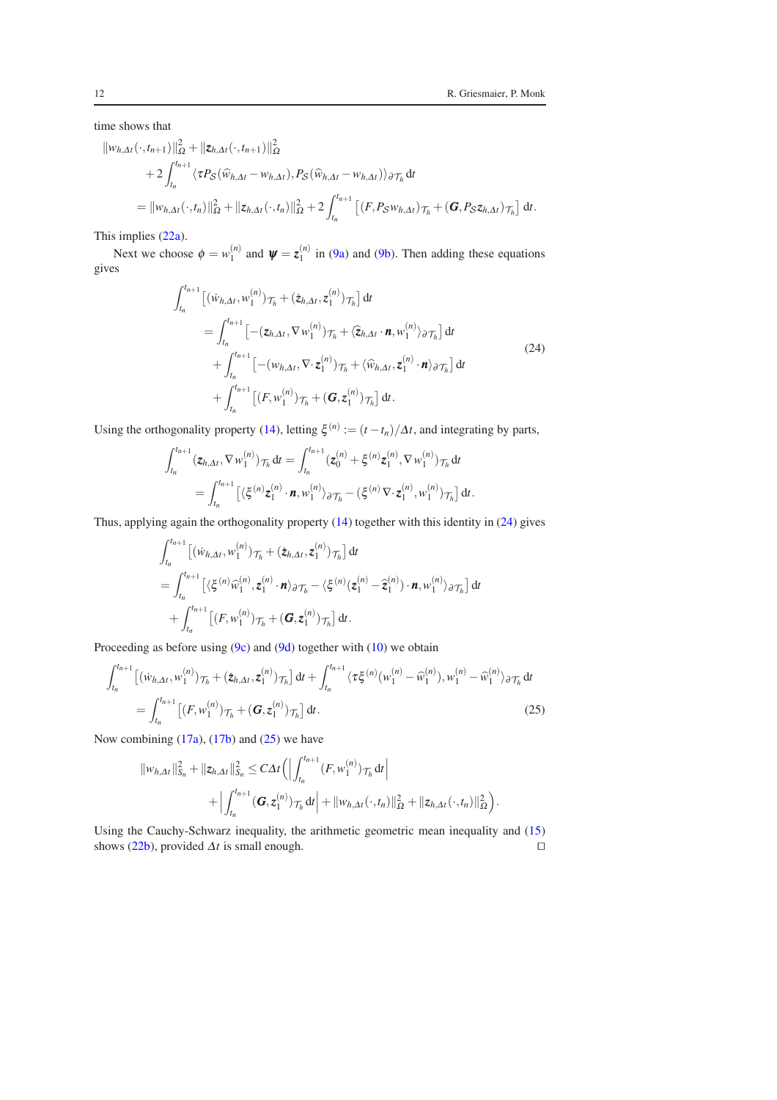$\left| \right. d t.$ 

time shows that

$$
\|w_{h,\Delta t}(\cdot,t_{n+1})\|_{\Omega}^{2} + \|z_{h,\Delta t}(\cdot,t_{n+1})\|_{\Omega}^{2}
$$
  
+2 $\int_{t_{n}}^{t_{n+1}} \langle \tau P_{S}(\widehat{w}_{h,\Delta t} - w_{h,\Delta t}), P_{S}(\widehat{w}_{h,\Delta t} - w_{h,\Delta t}) \rangle_{\partial \mathcal{T}_{h}} dt$   
= $||w_{h,\Delta t}(\cdot,t_{n})||_{\Omega}^{2} + ||z_{h,\Delta t}(\cdot,t_{n})||_{\Omega}^{2} + 2 \int_{t_{n}}^{t_{n+1}} [(F, P_{S}w_{h,\Delta t})_{\mathcal{T}_{h}} + (\mathbf{G}, P_{S}z_{h,\Delta t})_{\mathcal{T}_{h}}]$ 

This implies [\(22a\)](#page-10-2).

Next we choose  $\phi = w_1^{(n)}$  and  $\psi = z_1^{(n)}$  in [\(9a\)](#page-6-4) and [\(9b\)](#page-6-5). Then adding these equations gives

$$
\int_{t_n}^{t_{n+1}} \left[ (\dot{w}_{h,\Delta t}, w_1^{(n)}) \mathcal{T}_h + (\dot{z}_{h,\Delta t}, z_1^{(n)}) \mathcal{T}_h \right] dt
$$
\n
$$
= \int_{t_n}^{t_{n+1}} \left[ - (\mathbf{z}_{h,\Delta t}, \nabla w_1^{(n)}) \mathcal{T}_h + \langle \hat{z}_{h,\Delta t} \cdot \mathbf{n}, w_1^{(n)} \rangle \partial \mathcal{T}_h \right] dt
$$
\n
$$
+ \int_{t_n}^{t_{n+1}} \left[ - (\mathbf{w}_{h,\Delta t}, \nabla \cdot z_1^{(n)}) \mathcal{T}_h + \langle \hat{w}_{h,\Delta t}, z_1^{(n)} \cdot \mathbf{n} \rangle \partial \mathcal{T}_h \right] dt
$$
\n
$$
+ \int_{t_n}^{t_{n+1}} \left[ (F, w_1^{(n)}) \mathcal{T}_h + (\mathbf{G}, z_1^{(n)}) \mathcal{T}_h \right] dt.
$$
\n(24)

<span id="page-11-0"></span>Using the orthogonality property [\(14\)](#page-7-1), letting  $\xi^{(n)} := (t - t_n)/\Delta t$ , and integrating by parts,

$$
\int_{t_n}^{t_{n+1}} (z_{h,\Delta t}, \nabla w_1^{(n)}) \tau_h dt = \int_{t_n}^{t_{n+1}} (z_0^{(n)} + \xi^{(n)} z_1^{(n)}, \nabla w_1^{(n)}) \tau_h dt = \int_{t_n}^{t_{n+1}} \left[ \langle \xi^{(n)} z_1^{(n)} \cdot \mathbf{n}, w_1^{(n)} \rangle \partial \tau_h - (\xi^{(n)} \nabla \cdot z_1^{(n)}, w_1^{(n)}) \tau_h \right] dt.
$$

Thus, applying again the orthogonality property [\(14\)](#page-7-1) together with this identity in [\(24\)](#page-11-0) gives

$$
\int_{t_n}^{t_{n+1}} \left[ \left( \dot{w}_{h,\Delta t}, w_1^{(n)} \right) \tau_h + (\dot{z}_{h,\Delta t}, z_1^{(n)}) \tau_h \right] dt \n= \int_{t_n}^{t_{n+1}} \left[ \langle \xi^{(n)} \hat{w}_1^{(n)}, z_1^{(n)} \cdot \mathbf{n} \rangle_{\partial \mathcal{T}_h} - \langle \xi^{(n)}(z_1^{(n)} - \hat{z}_1^{(n)}) \cdot \mathbf{n}, w_1^{(n)} \rangle_{\partial \mathcal{T}_h} \right] dt \n+ \int_{t_n}^{t_{n+1}} \left[ (F, w_1^{(n)}) \tau_h + (\mathbf{G}, z_1^{(n)}) \tau_h \right] dt.
$$

Proceeding as before using [\(9c\)](#page-6-6) and [\(9d\)](#page-6-7) together with [\(10\)](#page-6-2) we obtain

$$
\int_{t_n}^{t_{n+1}} \left[ (\dot{w}_{h,\Delta t}, w_1^{(n)}) \mathcal{T}_h + (\dot{z}_{h,\Delta t}, z_1^{(n)}) \mathcal{T}_h \right] dt + \int_{t_n}^{t_{n+1}} \langle \tau \xi^{(n)} (w_1^{(n)} - \widehat{w}_1^{(n)}) , w_1^{(n)} - \widehat{w}_1^{(n)} \rangle_{\partial \mathcal{T}_h} dt \n= \int_{t_n}^{t_{n+1}} \left[ (F, w_1^{(n)}) \mathcal{T}_h + (\mathbf{G}, z_1^{(n)}) \mathcal{T}_h \right] dt.
$$
\n(25)

Now combining  $(17a)$ ,  $(17b)$  and  $(25)$  we have

<span id="page-11-1"></span>
$$
\|w_{h,\Delta t}\|_{S_n}^2 + \|z_{h,\Delta t}\|_{S_n}^2 \leq C\Delta t \Big(\Big|\int_{t_n}^{t_{n+1}} (F,w_1^{(n)})\tau_h\,dt\Big| + \Big|\int_{t_n}^{t_{n+1}} (\mathbf{G},\mathbf{z}_1^{(n)})\tau_h\,dt\Big| + \|w_{h,\Delta t}(\cdot,t_n)\|_{\Omega}^2 + \|z_{h,\Delta t}(\cdot,t_n)\|_{\Omega}^2\Big).
$$

Using the Cauchy-Schwarz inequality, the arithmetic geometric mean inequality and [\(15\)](#page-7-2) shows [\(22b\)](#page-10-3), provided  $\Delta t$  is small enough. □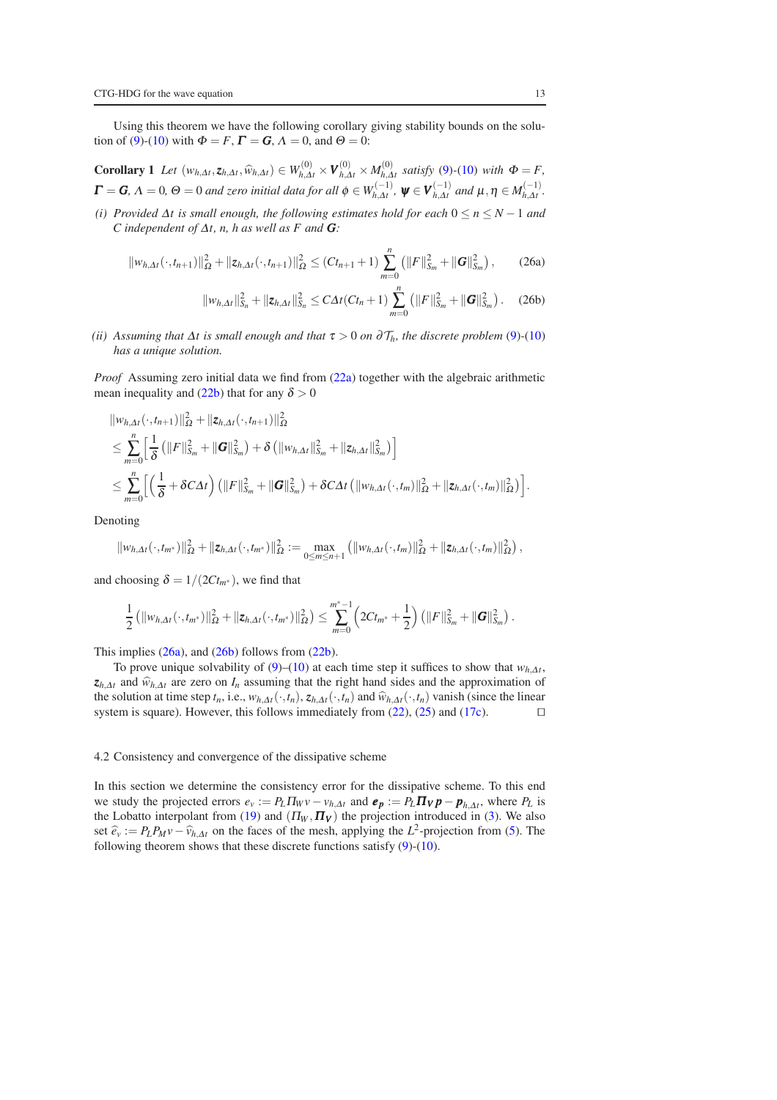<span id="page-12-3"></span>Using this theorem we have the following corollary giving stability bounds on the solu-tion of [\(9\)](#page-6-1)-[\(10\)](#page-6-2) with  $\Phi = F$ ,  $\Gamma = G$ ,  $\Lambda = 0$ , and  $\Theta = 0$ :

**Corollary 1** Let  $(w_{h,\Delta t}, z_{h,\Delta t}, \widehat{w}_{h,\Delta t}) \in W_{h,\Delta t}^{(0)} \times V_{h,\Delta t}^{(0)} \times M_{h,\Delta t}^{(0)}$  satisfy [\(9\)](#page-6-1)-[\(10\)](#page-6-2) with  $\Phi = F$ ,  $\bm{\Gamma} = \bm{G}, \, \Lambda = 0, \, \Theta = 0$  and zero initial data for all  $\phi \in W_{h, \Delta t}^{(-1)}, \ \bm{\psi} \in \bm{V}_{h, \Delta t}^{(-1)}$  and  $\mu, \eta \in M_{h, \Delta t}^{(-1)}.$ 

*(i) Provided* <sup>∆</sup>*t is small enough, the following estimates hold for each* 0 ≤ *n* ≤ *N* −1 *and C independent of* <sup>∆</sup>*t, n, h as well as F and G:*

$$
||w_{h,\Delta t}(\cdot,t_{n+1})||_{\Omega}^2+||z_{h,\Delta t}(\cdot,t_{n+1})||_{\Omega}^2\leq (Ct_{n+1}+1)\sum_{m=0}^n (||F||_{S_m}^2+||G||_{S_m}^2),
$$
 (26a)

<span id="page-12-1"></span><span id="page-12-0"></span>
$$
||w_{h,\Delta t}||_{S_n}^2 + ||z_{h,\Delta t}||_{S_n}^2 \leq C\Delta t (Ct_n + 1) \sum_{m=0}^n (||F||_{S_m}^2 + ||G||_{S_m}^2).
$$
 (26b)

*(ii)* Assuming that  $\Delta t$  is small enough and that  $\tau > 0$  on  $\partial \mathcal{T}_h$ , the discrete problem [\(9\)](#page-6-1)-[\(10\)](#page-6-2) *has a unique solution.*

*Proof* Assuming zero initial data we find from [\(22a\)](#page-10-2) together with the algebraic arithmetic mean inequality and [\(22b\)](#page-10-3) that for any  $\delta > 0$ 

$$
\|w_{h,\Delta t}(\cdot,t_{n+1})\|_{\Omega}^{2} + \|z_{h,\Delta t}(\cdot,t_{n+1})\|_{\Omega}^{2}
$$
  
\n
$$
\leq \sum_{m=0}^{n} \left[\frac{1}{\delta}\left(\|F\|_{S_{m}}^{2} + \|G\|_{S_{m}}^{2}\right) + \delta\left(\|w_{h,\Delta t}\|_{S_{m}}^{2} + \|z_{h,\Delta t}\|_{S_{m}}^{2}\right)\right]
$$
  
\n
$$
\leq \sum_{m=0}^{n} \left[\left(\frac{1}{\delta} + \delta C \Delta t\right)\left(\|F\|_{S_{m}}^{2} + \|G\|_{S_{m}}^{2}\right) + \delta C \Delta t\left(\|w_{h,\Delta t}(\cdot,t_{m})\|_{\Omega}^{2} + \|z_{h,\Delta t}(\cdot,t_{m})\|_{\Omega}^{2}\right)\right].
$$

Denoting

$$
\|w_{h,\Delta t}(\cdot,t_{m^*})\|_{\Omega}^2+\|z_{h,\Delta t}(\cdot,t_{m^*})\|_{\Omega}^2:=\max_{0\leq m\leq n+1}\left(\|w_{h,\Delta t}(\cdot,t_m)\|_{\Omega}^2+\|z_{h,\Delta t}(\cdot,t_m)\|_{\Omega}^2\right),
$$

and choosing  $\delta = 1/(2Ct_m^*)$ , we find that

$$
\frac{1}{2} \left( \left\| w_{h,\Delta t}(\cdot,t_{m^*}) \right\|^2_{\Omega} + \left\| z_{h,\Delta t}(\cdot,t_{m^*}) \right\|^2_{\Omega} \right) \leq \sum_{m=0}^{m^*-1} \left( 2Ct_{m^*} + \frac{1}{2} \right) \left( \left\| F \right\|^2_{S_m} + \left\| G \right\|^2_{S_m} \right).
$$

This implies  $(26a)$ , and  $(26b)$  follows from  $(22b)$ .

To prove unique solvability of  $(9)$ – $(10)$  at each time step it suffices to show that  $w_{h,\Delta t}$ ,  $z_{h,\Delta t}$  and  $\hat{w}_{h,\Delta t}$  are zero on *I<sub>n</sub>* assuming that the right hand sides and the approximation of the solution at time step *t<sub>n</sub>*, i.e.,  $w_{h,\Delta t}(\cdot, t_n)$ ,  $z_{h,\Delta t}(\cdot, t_n)$  and  $\hat{w}_{h,\Delta t}(\cdot, t_n)$  vanish (since the linear system is square). However, this follows immediately from (22), (25) and (17c). □ system is square). However, this follows immediately from [\(22\)](#page-10-4), [\(25\)](#page-11-1) and [\(17c\)](#page-8-2).

#### <span id="page-12-4"></span>4.2 Consistency and convergence of the dissipative scheme

<span id="page-12-2"></span>In this section we determine the consistency error for the dissipative scheme. To this end we study the projected errors  $e_v := P_L \Pi_W v - v_{h,\Delta t}$  and  $e_p := P_L \Pi_V p - p_{h,\Delta t}$ , where  $P_L$  is the Lobatto interpolant from [\(19\)](#page-9-1) and  $(\Pi_W, \Pi_V)$  the projection introduced in [\(3\)](#page-3-0). We also set  $\hat{e}_v := P_L P_M v - \hat{v}_{h,\Delta t}$  on the faces of the mesh, applying the *L*<sup>2</sup>-projection from [\(5\)](#page-4-7). The following theorem shows that these discrete functions satisfy [\(9\)](#page-6-1)-[\(10\)](#page-6-2).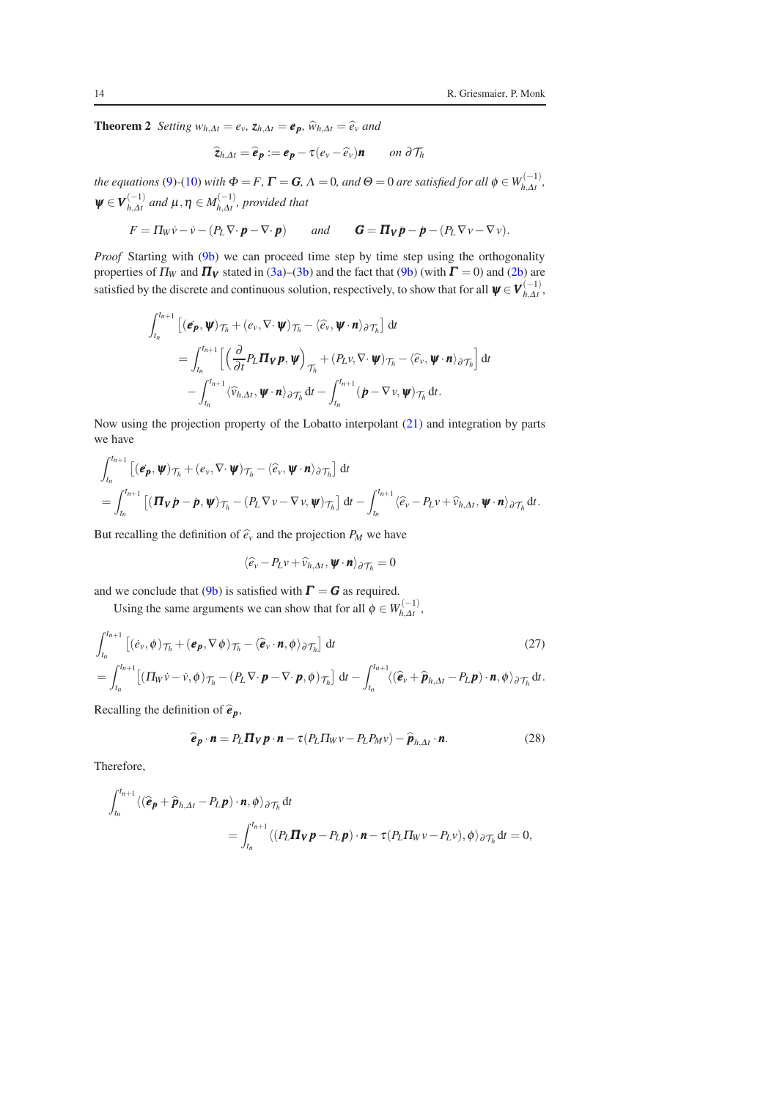**Theorem 2** *Setting*  $w_{h,\Delta t} = e_v$ ,  $z_{h,\Delta t} = e_p$ ,  $\hat{w}_{h,\Delta t} = \hat{e}_v$  *and* 

$$
\widehat{\mathbf{z}}_{h,\Delta t} = \widehat{\boldsymbol{e}}_{\boldsymbol{p}} := \boldsymbol{e}_{\boldsymbol{p}} - \tau(e_v - \widehat{e}_v)\boldsymbol{n} \qquad on \ \partial \mathcal{T}_h
$$

*the equations* [\(9\)](#page-6-1)-[\(10\)](#page-6-2) *with*  $\Phi = F$ ,  $\Gamma = G$ ,  $\Lambda = 0$ , and  $\Theta = 0$  are satisfied for all  $\phi \in W_{h, \Delta t}^{(-1)}$ ,  $\Psi \in V_{h,\Delta t}^{(-1)}$  and  $\mu, \eta \in M_{h,\Delta t}^{(-1)}$ , provided that

$$
F = \Pi_W \dot{v} - \dot{v} - (P_L \nabla \cdot \boldsymbol{p} - \nabla \cdot \boldsymbol{p}) \quad \text{and} \quad \boldsymbol{G} = \boldsymbol{\Pi_V} \boldsymbol{p} - \boldsymbol{p} - (P_L \nabla v - \nabla v).
$$

*Proof* Starting with [\(9b\)](#page-6-5) we can proceed time step by time step using the orthogonality properties of  $\Pi_W$  and  $\Pi_V$  stated in [\(3a\)](#page-3-2)–[\(3b\)](#page-3-3) and the fact that [\(9b\)](#page-6-5) (with  $\Gamma = 0$ ) and [\(2b\)](#page-2-2) are satisfied by the discrete and continuous solution, respectively, to show that for all  $\psi \in V_{h, \Delta t}^{(-1)}$ ,

$$
\int_{t_n}^{t_{n+1}} \left[ (\boldsymbol{e}_{\boldsymbol{p}}, \boldsymbol{\psi})_{\mathcal{T}_h} + (\boldsymbol{e}_{\boldsymbol{v}}, \nabla \cdot \boldsymbol{\psi})_{\mathcal{T}_h} - \langle \widehat{\boldsymbol{e}}_{\boldsymbol{v}}, \boldsymbol{\psi} \cdot \boldsymbol{n} \rangle_{\partial \mathcal{T}_h} \right] dt \n= \int_{t_n}^{t_{n+1}} \left[ \left( \frac{\partial}{\partial t} P_L \boldsymbol{\Pi}_{\boldsymbol{V}} \boldsymbol{p}, \boldsymbol{\psi} \right)_{\mathcal{T}_h} + (P_L \boldsymbol{v}, \nabla \cdot \boldsymbol{\psi})_{\mathcal{T}_h} - \langle \widehat{\boldsymbol{e}}_{\boldsymbol{v}}, \boldsymbol{\psi} \cdot \boldsymbol{n} \rangle_{\partial \mathcal{T}_h} \right] dt \n- \int_{t_n}^{t_{n+1}} \langle \widehat{v}_{h, \Delta t}, \boldsymbol{\psi} \cdot \boldsymbol{n} \rangle_{\partial \mathcal{T}_h} dt - \int_{t_n}^{t_{n+1}} (\boldsymbol{p} - \nabla \boldsymbol{v}, \boldsymbol{\psi})_{\mathcal{T}_h} dt.
$$

Now using the projection property of the Lobatto interpolant [\(21\)](#page-9-0) and integration by parts we have

$$
\int_{t_n}^{t_{n+1}} \left[ (\boldsymbol{e}_{\boldsymbol{p}}, \boldsymbol{\psi})_{\mathcal{T}_h} + (\boldsymbol{e}_v, \nabla \cdot \boldsymbol{\psi})_{\mathcal{T}_h} - \langle \widehat{\boldsymbol{e}}_v, \boldsymbol{\psi} \cdot \boldsymbol{n} \rangle_{\partial \mathcal{T}_h} \right] dt
$$
\n
$$
= \int_{t_n}^{t_{n+1}} \left[ (\boldsymbol{\Pi}_{\boldsymbol{V}} \boldsymbol{p} - \boldsymbol{p}, \boldsymbol{\psi})_{\mathcal{T}_h} - (P_L \nabla v - \nabla v, \boldsymbol{\psi})_{\mathcal{T}_h} \right] dt - \int_{t_n}^{t_{n+1}} \langle \widehat{\boldsymbol{e}}_v - P_L v + \widehat{v}_{h, \Delta t}, \boldsymbol{\psi} \cdot \boldsymbol{n} \rangle_{\partial \mathcal{T}_h} dt.
$$

But recalling the definition of  $\hat{e}_v$  and the projection  $P_M$  we have

<span id="page-13-0"></span>
$$
\langle \widehat{e}_v - P_L v + \widehat{v}_{h,\Delta t}, \boldsymbol{\psi} \cdot \boldsymbol{n} \rangle_{\partial \mathcal{T}_h} = 0
$$

and we conclude that [\(9b\)](#page-6-5) is satisfied with  $\Gamma = G$  as required.

Using the same arguments we can show that for all  $\phi \in W_{h,\Delta t}^{(-1)}$ ,

$$
\int_{t_n}^{t_{n+1}} \left[ (\dot{e}_v, \phi)_{\mathcal{T}_h} + (\boldsymbol{e}_{\boldsymbol{p}}, \nabla \phi)_{\mathcal{T}_h} - \langle \hat{\boldsymbol{e}}_v \cdot \boldsymbol{n}, \phi \rangle_{\partial \mathcal{T}_h} \right] dt
$$
\n
$$
= \int_{t_n}^{t_{n+1}} \left[ (\Pi_W \dot{v} - \dot{v}, \phi)_{\mathcal{T}_h} - (P_L \nabla \cdot \boldsymbol{p} - \nabla \cdot \boldsymbol{p}, \phi)_{\mathcal{T}_h} \right] dt - \int_{t_n}^{t_{n+1}} \langle (\hat{\boldsymbol{e}}_v + \hat{\boldsymbol{p}}_{h, \Delta t} - P_L \boldsymbol{p}) \cdot \boldsymbol{n}, \phi \rangle_{\partial \mathcal{T}_h} dt.
$$
\n(27)

Recalling the definition of  $\hat{\boldsymbol{e}}_p$ ,

$$
\widehat{\boldsymbol{e}}_{\boldsymbol{p}} \cdot \boldsymbol{n} = P_L \boldsymbol{\Pi}_{\boldsymbol{V}} \boldsymbol{p} \cdot \boldsymbol{n} - \tau (P_L \boldsymbol{\Pi}_{\boldsymbol{W}} \boldsymbol{v} - P_L P_M \boldsymbol{v}) - \widehat{\boldsymbol{p}}_{h, \Delta t} \cdot \boldsymbol{n}.
$$
 (28)

<span id="page-13-1"></span>Therefore,

$$
\int_{t_n}^{t_{n+1}} \langle (\widehat{\boldsymbol{e}}_{\boldsymbol{p}} + \widehat{\boldsymbol{p}}_{h,\Delta t} - P_L \boldsymbol{p}) \cdot \boldsymbol{n}, \phi \rangle_{\partial \mathcal{T}_h} dt
$$
\n
$$
= \int_{t_n}^{t_{n+1}} \langle (P_L \boldsymbol{\Pi}_{\boldsymbol{V}} \boldsymbol{p} - P_L \boldsymbol{p}) \cdot \boldsymbol{n} - \tau (P_L \Pi_W \boldsymbol{v} - P_L \boldsymbol{v}), \phi \rangle_{\partial \mathcal{T}_h} dt = 0,
$$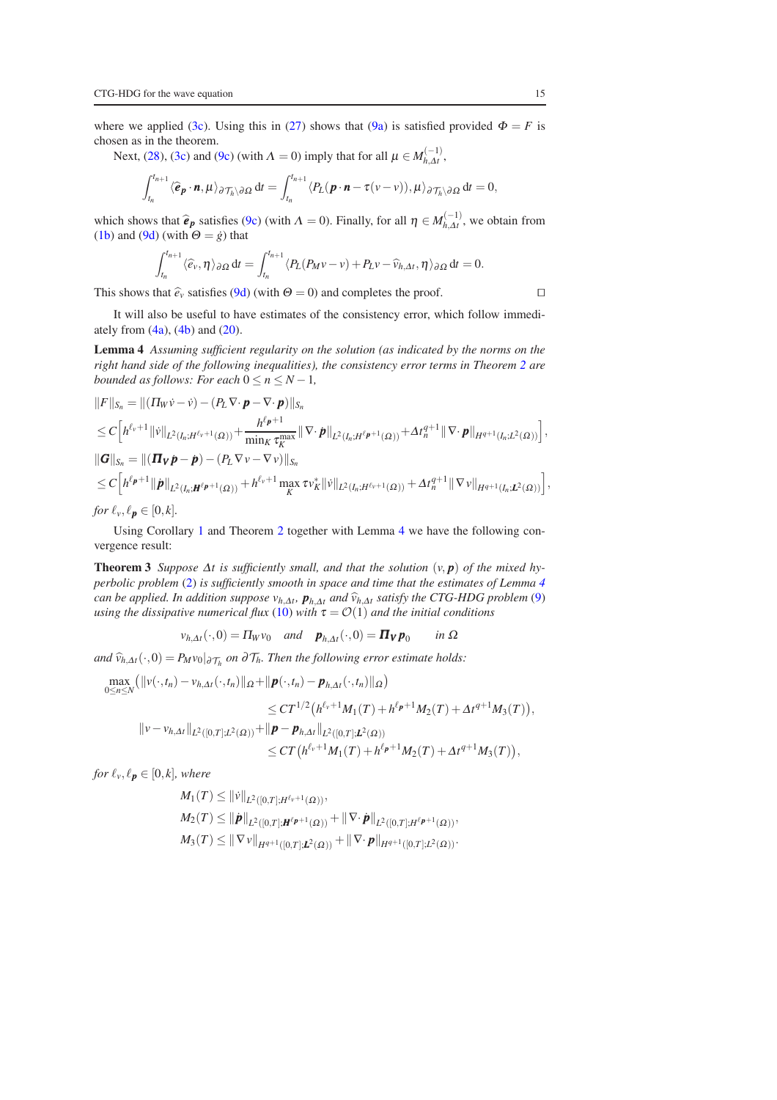where we applied [\(3c\)](#page-3-1). Using this in [\(27\)](#page-13-0) shows that [\(9a\)](#page-6-4) is satisfied provided  $\Phi = F$  is chosen as in the theorem.

Next, [\(28\)](#page-13-1), [\(3c\)](#page-3-1) and [\(9c\)](#page-6-6) (with  $\Lambda = 0$ ) imply that for all  $\mu \in M_{h, \Delta t}^{(-1)}$ ,

$$
\int_{t_n}^{t_{n+1}} \langle \widehat{\boldsymbol{e}}_{\boldsymbol{p}} \cdot \boldsymbol{n}, \boldsymbol{\mu} \rangle_{\partial \mathcal{T}_h \setminus \partial \Omega} dt = \int_{t_n}^{t_{n+1}} \langle P_L(\boldsymbol{p} \cdot \boldsymbol{n} - \tau(\nu - \nu)), \boldsymbol{\mu} \rangle_{\partial \mathcal{T}_h \setminus \partial \Omega} dt = 0,
$$

which shows that  $\hat{\boldsymbol{e}}_p$  satisfies [\(9c\)](#page-6-6) (with  $\Lambda = 0$ ). Finally, for all  $\eta \in M_{h,\Delta t}^{(-1)}$ , we obtain from [\(1b\)](#page-2-3) and [\(9d\)](#page-6-7) (with  $\Theta = \dot{g}$ ) that

<span id="page-14-0"></span>
$$
\int_{t_n}^{t_{n+1}} \langle \widehat{e}_v, \eta \rangle_{\partial \Omega} dt = \int_{t_n}^{t_{n+1}} \langle P_L(P_M v - v) + P_L v - \widehat{v}_{h, \Delta t}, \eta \rangle_{\partial \Omega} dt = 0.
$$

This shows that  $\hat{e}_v$  satisfies [\(9d\)](#page-6-7) (with  $\Theta = 0$ ) and completes the proof. □

It will also be useful to have estimates of the consistency error, which follow immediately from  $(4a)$ ,  $(4b)$  and  $(20)$ .

Lemma 4 *Assuming sufficient regularity on the solution (as indicated by the norms on the right hand side of the following inequalities), the consistency error terms in Theorem [2](#page-12-2) are bounded as follows: For each*  $0 \le n \le N - 1$ *,* 

$$
||F||_{S_n} = ||(\Pi_W \dot{v} - \dot{v}) - (P_L \nabla \cdot \boldsymbol{p} - \nabla \cdot \boldsymbol{p})||_{S_n}
$$
  
\n
$$
\leq C \Big[ h^{\ell_v+1} ||\dot{v}||_{L^2(I_n;H^{\ell_v+1}(\Omega))} + \frac{h^{\ell_p+1}}{\min_K \tau_K^{\max}} ||\nabla \cdot \boldsymbol{p}||_{L^2(I_n;H^{\ell_p+1}(\Omega))} + \Delta t_n^{q+1} ||\nabla \cdot \boldsymbol{p}||_{H^{q+1}(I_n;L^2(\Omega))} \Big],
$$
  
\n
$$
||G||_{S_n} = ||(\Pi_V \dot{\boldsymbol{p}} - \dot{\boldsymbol{p}}) - (P_L \nabla v - \nabla v)||_{S_n}
$$
  
\n
$$
\leq C \Big[ h^{\ell_p+1} ||\dot{\boldsymbol{p}}||_{L^2(I_n;H^{\ell_p+1}(\Omega))} + h^{\ell_v+1} \max_K \tau v_K^* ||\dot{v}||_{L^2(I_n;H^{\ell_v+1}(\Omega))} + \Delta t_n^{q+1} ||\nabla v||_{H^{q+1}(I_n;L^2(\Omega))} \Big],
$$
  
\nfor  $\ell_n \in [0, L]$ 

*for*  $\ell_v, \ell_p \in [0, k]$ .

<span id="page-14-1"></span>Using Corollary [1](#page-12-3) and Theorem [2](#page-12-2) together with Lemma [4](#page-14-0) we have the following convergence result:

**Theorem 3** *Suppose*  $\Delta t$  *is sufficiently small, and that the solution*  $(v, p)$  *of the mixed hyperbolic problem* [\(2\)](#page-2-4) *is sufficiently smooth in space and time that the estimates of Lemma [4](#page-14-0) can be applied. In addition suppose*  $v_{h,\Delta t}$ ,  $p_{h,\Delta t}$  *and*  $\hat{v}_{h,\Delta t}$  *satisfy the CTG-HDG problem* [\(9\)](#page-6-1)  $\hat{v}_{h,\Delta t}$ *using the dissipative numerical flux* [\(10\)](#page-6-2) *with*  $\tau = \mathcal{O}(1)$  *and the initial conditions* 

$$
v_{h,\Delta t}(\cdot,0)=\Pi_W v_0 \quad \text{and} \quad \boldsymbol{p}_{h,\Delta t}(\cdot,0)=\boldsymbol{\Pi_V p}_0 \quad \text{in } \Omega
$$

*and*  $\widehat{v}_{h,\Delta t}(\cdot,0) = P_M v_0|_{\partial \mathcal{T}_h}$  *on* ∂ $\mathcal{T}_h$ *. Then the following error estimate holds:* 

$$
\max_{0 \leq n \leq N} (\|v(\cdot,t_n) - v_{h,\Delta t}(\cdot,t_n)\|_{\Omega} + \|\boldsymbol{p}(\cdot,t_n) - \boldsymbol{p}_{h,\Delta t}(\cdot,t_n)\|_{\Omega})
$$
\n
$$
\leq CT^{1/2} \big( h^{\ell_v+1} M_1(T) + h^{\ell_p+1} M_2(T) + \Delta t^{q+1} M_3(T) \big),
$$
\n
$$
\|v - v_{h,\Delta t}\|_{L^2([0,T];L^2(\Omega))} + \|\boldsymbol{p} - \boldsymbol{p}_{h,\Delta t}\|_{L^2([0,T];L^2(\Omega))}
$$
\n
$$
\leq CT \big( h^{\ell_v+1} M_1(T) + h^{\ell_p+1} M_2(T) + \Delta t^{q+1} M_3(T) \big),
$$

*for*  $\ell_v, \ell_p \in [0, k]$ *, where* 

$$
M_1(T) \leq ||\dot{v}||_{L^2([0,T];H^{\ell_v+1}(\Omega))},
$$
  
\n
$$
M_2(T) \leq ||\dot{p}||_{L^2([0,T];H^{\ell_p+1}(\Omega))} + ||\nabla \cdot \dot{p}||_{L^2([0,T];H^{\ell_p+1}(\Omega))},
$$
  
\n
$$
M_3(T) \leq ||\nabla v||_{H^{q+1}([0,T];L^2(\Omega))} + ||\nabla \cdot p||_{H^{q+1}([0,T];L^2(\Omega))}.
$$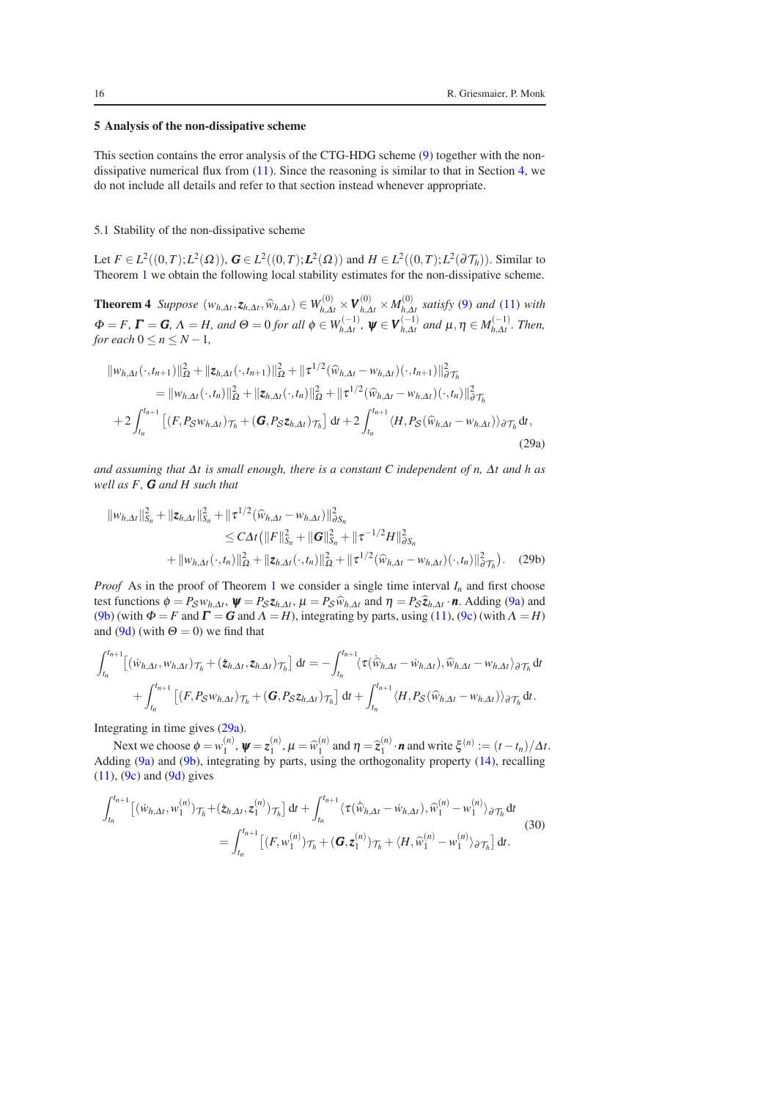## <span id="page-15-0"></span>5 Analysis of the non-dissipative scheme

This section contains the error analysis of the CTG-HDG scheme [\(9\)](#page-6-1) together with the nondissipative numerical flux from  $(11)$ . Since the reasoning is similar to that in Section [4,](#page-10-0) we do not include all details and refer to that section instead whenever appropriate.

#### 5.1 Stability of the non-dissipative scheme

Let *F* ∈ *L*<sup>2</sup>((0,*T*);*L*<sup>2</sup>(Ω)), *G* ∈ *L*<sup>2</sup>((0,*T*);*L*<sup>2</sup>(Ω)) and *H* ∈ *L*<sup>2</sup>((0,*T*);*L*<sup>2</sup>(∂*T<sub>h</sub>*)). Similar to Theorem [1](#page-10-5) we obtain the following local stability estimates for the non-dissipative scheme.

**Theorem 4** *Suppose*  $(w_{h,\Delta t}, z_{h,\Delta t}, \widehat{w}_{h,\Delta t}) \in W_{h,\Delta t}^{(0)} \times V_{h,\Delta t}^{(0)} \times M_{h,\Delta t}^{(0)}$ *h*,∆*t satisfy* [\(9\)](#page-6-1) *and* [\(11\)](#page-6-8) *with*  $\Phi = F$ ,  $\Gamma = G$ ,  $\Lambda = H$ , and  $\Theta = 0$  for all  $\phi \in W_{h,\Delta t}^{(-1)}$ ,  $\psi \in V_{h,\Delta t}^{(-1)}$  and  $\mu, \eta \in M_{h,\Delta t}^{(-1)}$ . Then, *for each*  $0 \le n \le N - 1$ ,

<span id="page-15-4"></span>
$$
\|w_{h,\Delta t}(\cdot,t_{n+1})\|_{\Omega}^{2} + \|z_{h,\Delta t}(\cdot,t_{n+1})\|_{\Omega}^{2} + \|\tau^{1/2}(\widehat{w}_{h,\Delta t} - w_{h,\Delta t})(\cdot,t_{n+1})\|_{\partial \mathcal{T}_{h}}^{2}
$$
\n
$$
= \|w_{h,\Delta t}(\cdot,t_{n})\|_{\Omega}^{2} + \|z_{h,\Delta t}(\cdot,t_{n})\|_{\Omega}^{2} + \|\tau^{1/2}(\widehat{w}_{h,\Delta t} - w_{h,\Delta t})(\cdot,t_{n})\|_{\partial \mathcal{T}_{h}}^{2}
$$
\n
$$
+ 2\int_{t_{n}}^{t_{n+1}} \left[ (F, P_{\mathcal{S}}w_{h,\Delta t})_{\mathcal{T}_{h}} + (G, P_{\mathcal{S}}z_{h,\Delta t})_{\mathcal{T}_{h}} \right] dt + 2\int_{t_{n}}^{t_{n+1}} \langle H, P_{\mathcal{S}}(\widehat{w}_{h,\Delta t} - w_{h,\Delta t}) \rangle_{\partial \mathcal{T}_{h}} dt,
$$
\n(29a)

*and assuming that* <sup>∆</sup>*t is small enough, there is a constant C independent of n,* <sup>∆</sup>*t and h as well as F, G and H such that*

<span id="page-15-3"></span><span id="page-15-1"></span>
$$
\|w_{h,\Delta t}\|_{S_n}^2 + \|z_{h,\Delta t}\|_{S_n}^2 + \|\tau^{1/2}(\widehat{w}_{h,\Delta t} - w_{h,\Delta t})\|_{\partial S_n}^2
$$
  
\n
$$
\leq C\Delta t \left(\|F\|_{S_n}^2 + \|G\|_{S_n}^2 + \|\tau^{-1/2}H\|_{\partial S_n}^2 + \|\tau^{-1/2}H\|_{\partial S_n}^2\right)
$$
  
\n
$$
+ \|w_{h,\Delta t}(\cdot, t_n)\|_{\Omega}^2 + \|z_{h,\Delta t}(\cdot, t_n)\|_{\Omega}^2 + \|\tau^{1/2}(\widehat{w}_{h,\Delta t} - w_{h,\Delta t})(\cdot, t_n)\|_{\partial \mathcal{T}_h}^2). \tag{29b}
$$

*Proof* As in the proof of Theorem [1](#page-10-5) we consider a single time interval  $I_n$  and first choose test functions  $\phi = P_S w_{h,\Delta t}$ ,  $\psi = P_S z_{h,\Delta t}$ ,  $\mu = P_S \hat{w}_{h,\Delta t}$  and  $\eta = P_S \hat{z}_{h,\Delta t}$ . *n*. Adding [\(9a\)](#page-6-4) and (9b) (with  $\Phi$ ,  $F_S w A F_S$  or  $\phi$  and  $F_S$  or  $\phi$ ,  $F_S w A T_S$  is the active has extensive (11) (9c) (with  $\phi$ [\(9b\)](#page-6-5) (with  $\Phi = F$  and  $\Gamma = G$  and  $\Lambda = H$ ), integrating by parts, using [\(11\)](#page-6-8), [\(9c\)](#page-6-6) (with  $\Lambda = H$ ) and [\(9d\)](#page-6-7) (with  $\Theta = 0$ ) we find that

$$
\int_{t_n}^{t_{n+1}} \left[ \left( \dot{w}_{h,\Delta t}, w_{h,\Delta t} \right) \mathcal{T}_h + \left( \dot{z}_{h,\Delta t}, z_{h,\Delta t} \right) \mathcal{T}_h \right] dt = - \int_{t_n}^{t_{n+1}} \langle \tau(\hat{w}_{h,\Delta t} - \dot{w}_{h,\Delta t}), \hat{w}_{h,\Delta t} - w_{h,\Delta t} \rangle_{\partial \mathcal{T}_h} dt + \int_{t_n}^{t_{n+1}} \left[ \left( F, P_S w_{h,\Delta t} \right) \mathcal{T}_h + \left( G, P_S z_{h,\Delta t} \right) \mathcal{T}_h \right] dt + \int_{t_n}^{t_{n+1}} \langle H, P_S(\hat{w}_{h,\Delta t} - w_{h,\Delta t}) \rangle_{\partial \mathcal{T}_h} dt.
$$

Integrating in time gives [\(29a\)](#page-15-1).

Next we choose  $\phi = w_1^{(n)}$ ,  $\psi = z_1^{(n)}$ ,  $\mu = \widehat{w}_1^{(n)}$  and  $\eta = \widehat{z}_1^{(n)} \cdot \mathbf{n}$  and write  $\xi^{(n)} := (t - t_n)/\Delta t$ . Adding [\(9a\)](#page-6-4) and [\(9b\)](#page-6-5), integrating by parts, using the orthogonality property [\(14\)](#page-7-1), recalling  $(11)$ ,  $(9c)$  and  $(9d)$  gives

<span id="page-15-2"></span>
$$
\int_{t_n}^{t_{n+1}} \left[ (\dot{w}_{h,\Delta t}, w_1^{(n)}) \tau_h + (\dot{z}_{h,\Delta t}, z_1^{(n)}) \tau_h \right] dt + \int_{t_n}^{t_{n+1}} \langle \tau(\hat{w}_{h,\Delta t} - \dot{w}_{h,\Delta t}), \hat{w}_1^{(n)} - w_1^{(n)} \rangle_{\partial \mathcal{T}_h} dt
$$
\n
$$
= \int_{t_n}^{t_{n+1}} \left[ (F, w_1^{(n)}) \tau_h + (\mathbf{G}, z_1^{(n)}) \tau_h + \langle H, \hat{w}_1^{(n)} - w_1^{(n)} \rangle_{\partial \mathcal{T}_h} \right] dt.
$$
\n(30)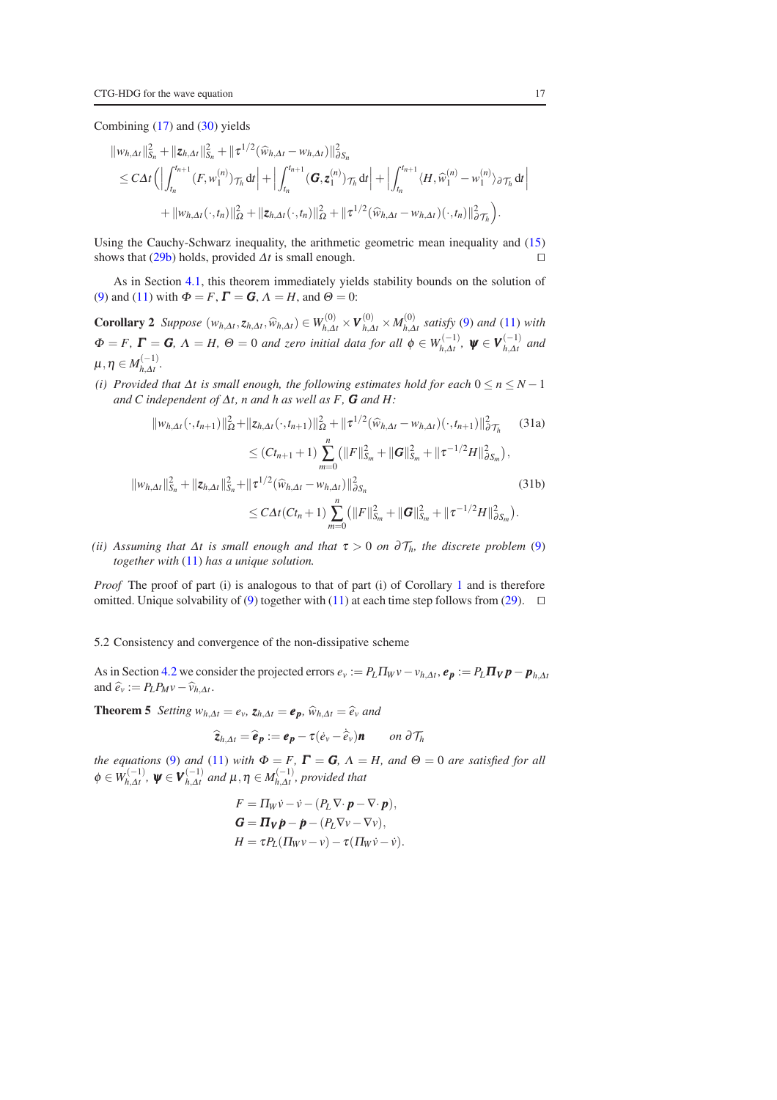Combining  $(17)$  and  $(30)$  yields

$$
\|w_{h,\Delta t}\|_{S_n}^2 + \|z_{h,\Delta t}\|_{S_n}^2 + \|\tau^{1/2}(\widehat{w}_{h,\Delta t} - w_{h,\Delta t})\|_{\partial S_n}^2
$$
  
\n
$$
\leq C\Delta t \Biggl( \Bigl| \int_{t_n}^{t_{n+1}} (F, w_1^{(n)}) \tau_h \, dt \Bigr| + \Bigl| \int_{t_n}^{t_{n+1}} (G, z_1^{(n)}) \tau_h \, dt \Bigr| + \Bigl| \int_{t_n}^{t_{n+1}} \langle H, \widehat{w}_1^{(n)} - w_1^{(n)} \rangle_{\partial \mathcal{T}_h} \, dt \Bigr|
$$
  
\n
$$
+ \|w_{h,\Delta t}(\cdot, t_n)\|_{\Omega}^2 + \|z_{h,\Delta t}(\cdot, t_n)\|_{\Omega}^2 + \|\tau^{1/2}(\widehat{w}_{h,\Delta t} - w_{h,\Delta t})(\cdot, t_n)\|_{\partial \mathcal{T}_h}^2 \Biggr).
$$

Using the Cauchy-Schwarz inequality, the arithmetic geometric mean inequality and [\(15\)](#page-7-2) shows that  $(29b)$  holds, provided  $\Delta t$  is small enough. □

<span id="page-16-1"></span>As in Section [4.1,](#page-10-6) this theorem immediately yields stability bounds on the solution of [\(9\)](#page-6-1) and [\(11\)](#page-6-8) with  $\Phi = F$ ,  $\Gamma = G$ ,  $\Lambda = H$ , and  $\Theta = 0$ :

**Corollary 2** Suppose  $(w_{h,\Delta t}, z_{h,\Delta t}, \widehat{w}_{h,\Delta t}) \in W_{h,\Delta t}^{(0)} \times V_{h,\Delta t}^{(0)} \times M_{h,\Delta t}^{(0)}$  satisfy [\(9\)](#page-6-1) and [\(11\)](#page-6-8) with  $\Phi = F$ ,  $\Gamma = G$ ,  $\Lambda = H$ ,  $\Theta = 0$  *and zero initial data for all*  $\phi \in W_{h, \Delta t}^{(-1)}$ ,  $\psi \in V_{h, \Delta t}^{(-1)}$  *and*  $\mu, \eta \in M_{h,\Delta t}^{(-1)}.$ 

*(i) Provided that*  $\Delta t$  *is small enough, the following estimates hold for each*  $0 \le n \le N - 1$ *and C independent of*  $\Delta t$ *, n and h as well as F, G and H:* 

$$
||w_{h,\Delta t}(\cdot,t_{n+1})||_{\Omega}^{2}+||z_{h,\Delta t}(\cdot,t_{n+1})||_{\Omega}^{2}+||\tau^{1/2}(\widehat{w}_{h,\Delta t}-w_{h,\Delta t})(\cdot,t_{n+1})||_{\partial\mathcal{T}_{h}}^{2}
$$
 (31a)  

$$
\leq (Ct_{n+1}+1)\sum_{i=1}^{n} (||F||_{S_{m}}^{2}+||G||_{S_{m}}^{2}+||\tau^{-1/2}H||_{\partial S_{m}}^{2}),
$$

$$
||w_{h,\Delta t}||_{S_n}^2 + ||z_{h,\Delta t}||_{S_n}^2 + ||\tau^{1/2}(\widehat{w}_{h,\Delta t} - w_{h,\Delta t})||_{\partial S_n}^2
$$
\n
$$
\leq C\Delta t (Ct_n + 1) \sum_{m=0}^n (||F||_{S_m}^2 + ||G||_{S_m}^2 + ||\tau^{-1/2}H||_{\partial S_m}^2).
$$
\n(31b)

*(ii)* Assuming that  $\Delta t$  is small enough and that  $\tau > 0$  on  $\partial \mathcal{T}_h$ , the discrete problem [\(9\)](#page-6-1) *together with* [\(11\)](#page-6-8) *has a unique solution.*

*Proof* The proof of part (i) is analogous to that of part (i) of Corollary [1](#page-12-3) and is therefore omitted. Unique solvability of [\(9\)](#page-6-1) together with [\(11\)](#page-6-8) at each time step follows from [\(29\)](#page-15-4). □

## 5.2 Consistency and convergence of the non-dissipative scheme

<span id="page-16-0"></span>As in Section [4.2](#page-12-4) we consider the projected errors  $e_v := P_L \Pi_W v - v_{h,\Delta t}$ ,  $e_p := P_L \Pi_V p - p_{h,\Delta t}$ and  $\widehat{e}_v := P_L P_M v - \widehat{v}_{h,\Delta t}$ .

**Theorem 5** *Setting*  $w_{h,\Delta t} = e_v$ ,  $z_{h,\Delta t} = e_p$ ,  $\hat{w}_{h,\Delta t} = \hat{e}_v$  *and* 

$$
\widehat{\mathbf{z}}_{h,\Delta t} = \widehat{\boldsymbol{e}}_{\boldsymbol{p}} := \boldsymbol{e}_{\boldsymbol{p}} - \tau (\dot{e}_v - \hat{\hat{e}}_v) \boldsymbol{n} \qquad on \ \partial \mathcal{T}_h
$$

*the equations* [\(9\)](#page-6-1) *and* [\(11\)](#page-6-8) *with*  $\Phi = F$ ,  $\Gamma = G$ ,  $\Lambda = H$ , *and*  $\Theta = 0$  *are satisfied for all*  $\phi \in W_{h,\Delta t}^{(-1)}$ ,  $\psi \in V_{h,\Delta t}^{(-1)}$  and  $\mu, \eta \in M_{h,\Delta t}^{(-1)}$ , provided that

$$
F = \Pi_W \dot{v} - \dot{v} - (P_L \nabla \cdot \boldsymbol{p} - \nabla \cdot \boldsymbol{p}),
$$
  
\n
$$
\boldsymbol{G} = \boldsymbol{\Pi_V} \boldsymbol{p} - \boldsymbol{p} - (P_L \nabla v - \nabla v),
$$
  
\n
$$
H = \tau P_L (\Pi_W v - v) - \tau (\Pi_W \dot{v} - \dot{v}).
$$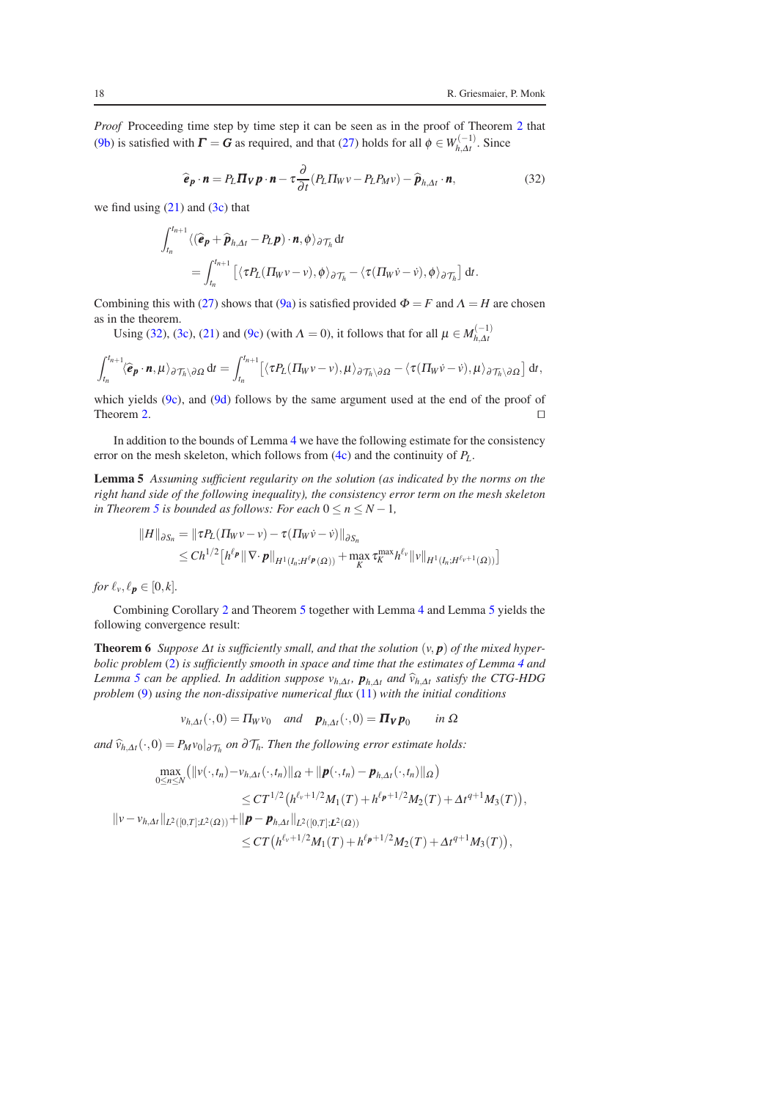*Proof* Proceeding time step by time step it can be seen as in the proof of Theorem [2](#page-12-2) that [\(9b\)](#page-6-5) is satisfied with  $\Gamma = G$  as required, and that [\(27\)](#page-13-0) holds for all  $\phi \in W_{h, \Delta t}^{(-1)}$ . Since

<span id="page-17-0"></span>
$$
\widehat{\boldsymbol{e}}_{\boldsymbol{p}} \cdot \boldsymbol{n} = P_L \boldsymbol{\Pi}_{\boldsymbol{V}} \boldsymbol{p} \cdot \boldsymbol{n} - \tau \frac{\partial}{\partial t} (P_L \boldsymbol{\Pi}_{\boldsymbol{W}} \boldsymbol{v} - P_L P_M \boldsymbol{v}) - \widehat{\boldsymbol{p}}_{h, \Delta t} \cdot \boldsymbol{n},
$$
\n(32)

we find using  $(21)$  and  $(3c)$  that

$$
\int_{t_n}^{t_{n+1}} \langle (\widehat{\mathbf{e}}_{\mathbf{p}} + \widehat{\mathbf{p}}_{h, \Delta t} - P_L \mathbf{p}) \cdot \mathbf{n}, \phi \rangle_{\partial \mathcal{T}_h} dt
$$
\n
$$
= \int_{t_n}^{t_{n+1}} \left[ \langle \tau P_L (\Pi_W v - v), \phi \rangle_{\partial \mathcal{T}_h} - \langle \tau (\Pi_W \dot{v} - \dot{v}), \phi \rangle_{\partial \mathcal{T}_h} \right] dt.
$$

Combining this with [\(27\)](#page-13-0) shows that [\(9a\)](#page-6-4) is satisfied provided  $\Phi = F$  and  $\Lambda = H$  are chosen as in the theorem.

Using [\(32\)](#page-17-0), [\(3c\)](#page-3-1), [\(21\)](#page-9-0) and [\(9c\)](#page-6-6) (with  $\Lambda = 0$ ), it follows that for all  $\mu \in M_{h, \Delta t}^{(-1)}$ 

$$
\int_{t_n}^{t_{n+1}} \langle \widehat{\boldsymbol{e}}_{\boldsymbol{p}} \cdot \boldsymbol{n}, \mu \rangle_{\partial \mathcal{T}_h \setminus \partial \Omega} dt = \int_{t_n}^{t_{n+1}} \left[ \langle \tau P_L(\Pi_W v - v), \mu \rangle_{\partial \mathcal{T}_h \setminus \partial \Omega} - \langle \tau (\Pi_W \dot{v} - \dot{v}), \mu \rangle_{\partial \mathcal{T}_h \setminus \partial \Omega} \right] dt,
$$

which yields [\(9c\)](#page-6-6), and [\(9d\)](#page-6-7) follows by the same argument used at the end of the proof of Theorem [2.](#page-12-2)  $□$ 

In addition to the bounds of Lemma [4](#page-14-0) we have the following estimate for the consistency error on the mesh skeleton, which follows from [\(4c\)](#page-4-10) and the continuity of *PL*.

Lemma 5 *Assuming sufficient regularity on the solution (as indicated by the norms on the right hand side of the following inequality), the consistency error term on the mesh skeleton in Theorem* [5](#page-16-0) *is bounded as follows: For each*  $0 \le n \le N - 1$ *,* 

<span id="page-17-1"></span>
$$
||H||_{\partial S_n} = ||\tau P_L(\Pi_W \nu - \nu) - \tau(\Pi_W \nu - \nu)||_{\partial S_n}
$$
  
\n
$$
\leq Ch^{1/2} \left[ h^{\ell_p} || \nabla \cdot \boldsymbol{p}||_{H^1(I_n; H^{\ell_p}(\Omega))} + \max_K \tau_K^{\max} h^{\ell_v} ||\nu||_{H^1(I_n; H^{\ell_v+1}(\Omega))} \right]
$$

*for*  $\ell_v, \ell_p \in [0, k]$ .

Combining Corollary [2](#page-16-1) and Theorem [5](#page-16-0) together with Lemma [4](#page-14-0) and Lemma [5](#page-17-1) yields the following convergence result:

**Theorem 6** *Suppose*  $\Delta t$  *is sufficiently small, and that the solution*  $(v, p)$  *of the mixed hyperbolic problem* [\(2\)](#page-2-4) *is sufficiently smooth in space and time that the estimates of Lemma [4](#page-14-0) and Lemma [5](#page-17-1) can be applied. In addition suppose*  $v_{h,\Delta t}$ ,  $p_{h,\Delta t}$  *and*  $\hat{v}_{h,\Delta t}$  *satisfy the CTG-HDG problem* [\(9\)](#page-6-1) *using the non-dissipative numerical flux* [\(11\)](#page-6-8) *with the initial conditions*

<span id="page-17-2"></span>
$$
v_{h,\Delta t}(\cdot,0) = \Pi_W v_0
$$
 and  $\mathbf{p}_{h,\Delta t}(\cdot,0) = \mathbf{\Pi_V p}_0$  in  $\Omega$ 

*and*  $\widehat{v}_{h,\Delta t}(\cdot,0) = P_M v_0|_{\partial \mathcal{T}_h}$  *on* ∂ $\mathcal{T}_h$ *. Then the following error estimate holds:* 

$$
\max_{0 \leq n \leq N} (\|v(\cdot,t_n) - v_{h,\Delta t}(\cdot,t_n)\|_{\Omega} + \|\mathbf{p}(\cdot,t_n) - \mathbf{p}_{h,\Delta t}(\cdot,t_n)\|_{\Omega})
$$
\n
$$
\leq CT^{1/2} (h^{\ell_v+1/2} M_1(T) + h^{\ell_p+1/2} M_2(T) + \Delta t^{q+1} M_3(T)),
$$
\n
$$
\|v - v_{h,\Delta t}\|_{L^2([0,T];L^2(\Omega))} + \|\mathbf{p} - \mathbf{p}_{h,\Delta t}\|_{L^2([0,T];L^2(\Omega))}
$$
\n
$$
\leq CT (h^{\ell_v+1/2} M_1(T) + h^{\ell_p+1/2} M_2(T) + \Delta t^{q+1} M_3(T)),
$$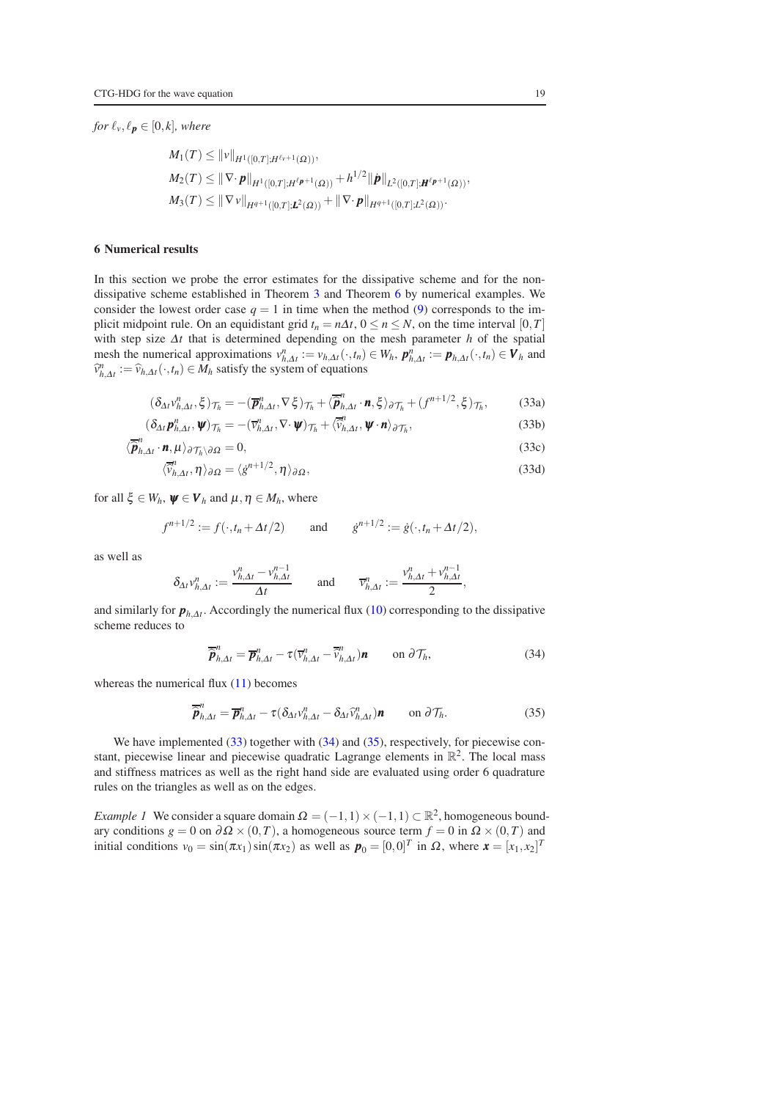*for*  $\ell_v, \ell_p \in [0, k]$ *, where* 

$$
M_1(T) \leq ||v||_{H^1([0,T];H^{\ell_v+1}(\Omega))},
$$
  
\n
$$
M_2(T) \leq ||\nabla \cdot \boldsymbol{p}||_{H^1([0,T];H^{\ell_{\boldsymbol{p}}+1}(\Omega))} + h^{1/2} ||\boldsymbol{p}||_{L^2([0,T];H^{\ell_{\boldsymbol{p}}+1}(\Omega))},
$$
  
\n
$$
M_3(T) \leq ||\nabla v||_{H^{q+1}([0,T];L^2(\Omega))} + ||\nabla \cdot \boldsymbol{p}||_{H^{q+1}([0,T];L^2(\Omega))}.
$$

## <span id="page-18-0"></span>6 Numerical results

In this section we probe the error estimates for the dissipative scheme and for the nondissipative scheme established in Theorem [3](#page-14-1) and Theorem [6](#page-17-2) by numerical examples. We consider the lowest order case  $q = 1$  in time when the method [\(9\)](#page-6-1) corresponds to the implicit midpoint rule. On an equidistant grid  $t_n = n\Delta t$ ,  $0 \le n \le N$ , on the time interval [0,*T*] with step size <sup>∆</sup>*t* that is determined depending on the mesh parameter *h* of the spatial mesh the numerical approximations  $v_{h, \Delta t}^n := v_{h, \Delta t}(\cdot, t_n) \in W_h$ ,  $p_{h, \Delta t}^n := p_{h, \Delta t}(\cdot, t_n) \in V_h$  and  $\hat{v}_{h,\Delta t}^n := \hat{v}_{h,\Delta t}(\cdot, t_n) \in M_h$  satisfy the system of equations

<span id="page-18-1"></span>
$$
(\delta_{\Delta t} v_{h,\Delta t}^n, \xi)_{\mathcal{T}_h} = -(\overline{\boldsymbol{p}}_{h,\Delta t}^n, \nabla \xi)_{\mathcal{T}_h} + \langle \overline{\hat{\boldsymbol{p}}}_{h,\Delta t}^n \cdot \boldsymbol{n}, \xi \rangle_{\partial \mathcal{T}_h} + (f^{n+1/2}, \xi)_{\mathcal{T}_h},
$$
(33a)

$$
(\delta_{\Delta t} \mathbf{p}_{h,\Delta t}^n, \mathbf{\Psi})_{\mathcal{T}_h} = -(\overline{v}_{h,\Delta t}^n, \nabla \cdot \mathbf{\Psi})_{\mathcal{T}_h} + \langle \overline{\tilde{v}}_{h,\Delta t}^n, \mathbf{\Psi} \cdot \mathbf{n} \rangle_{\partial \mathcal{T}_h},
$$
(33b)

$$
\langle \overline{\hat{\boldsymbol{p}}}_{h,\Delta t}^{n} \cdot \boldsymbol{n}, \mu \rangle_{\partial \mathcal{T}_h \setminus \partial \Omega} = 0, \tag{33c}
$$

$$
\langle \overline{\hat{v}}_{h,\Delta t}^n, \eta \rangle_{\partial \Omega} = \langle \dot{g}^{n+1/2}, \eta \rangle_{\partial \Omega},\tag{33d}
$$

for all  $\xi \in W_h$ ,  $\psi \in V_h$  and  $\mu, \eta \in M_h$ , where

$$
f^{n+1/2} := f(\cdot, t_n + \Delta t/2)
$$
 and  $g^{n+1/2} := g(\cdot, t_n + \Delta t/2),$ 

as well as

$$
\delta_{\Delta t} v_{h,\Delta t}^n := \frac{v_{h,\Delta t}^n - v_{h,\Delta t}^{n-1}}{\Delta t} \quad \text{and} \quad \overline{v}_{h,\Delta t}^n := \frac{v_{h,\Delta t}^n + v_{h,\Delta t}^{n-1}}{2},
$$

and similarly for  $p_{h,\Delta t}$ . Accordingly the numerical flux [\(10\)](#page-6-2) corresponding to the dissipative scheme reduces to

<span id="page-18-2"></span>
$$
\overline{\hat{\boldsymbol{p}}}_{h,\Delta t}^{n} = \overline{\boldsymbol{p}}_{h,\Delta t}^{n} - \tau (\overline{v}_{h,\Delta t}^{n} - \overline{\hat{v}}_{h,\Delta t}^{n}) \boldsymbol{n} \qquad \text{on } \partial \mathcal{T}_{h},
$$
\n(34)

whereas the numerical flux [\(11\)](#page-6-8) becomes

<span id="page-18-3"></span>
$$
\overline{\hat{\boldsymbol{p}}}_{h,\Delta t}^{n} = \overline{\boldsymbol{p}}_{h,\Delta t}^{n} - \tau (\delta_{\Delta t} v_{h,\Delta t}^{n} - \delta_{\Delta t} \widehat{v}_{h,\Delta t}^{n}) \boldsymbol{n} \qquad \text{on } \partial \mathcal{T}_{h}.
$$
\n(35)

We have implemented [\(33\)](#page-18-1) together with [\(34\)](#page-18-2) and [\(35\)](#page-18-3), respectively, for piecewise constant, piecewise linear and piecewise quadratic Lagrange elements in  $\mathbb{R}^2$ . The local mass and stiffness matrices as well as the right hand side are evaluated using order 6 quadrature rules on the triangles as well as on the edges.

<span id="page-18-4"></span>*Example 1* We consider a square domain  $\Omega = (-1,1) \times (-1,1) \subset \mathbb{R}^2$ , homogeneous boundary conditions  $g = 0$  on  $\partial \Omega \times (0,T)$ , a homogeneous source term  $f = 0$  in  $\Omega \times (0,T)$  and initial conditions  $v_0 = \sin(\pi x_1) \sin(\pi x_2)$  as well as  $\mathbf{p}_0 = [0,0]^T$  in  $\Omega$ , where  $\mathbf{x} = [x_1, x_2]^T$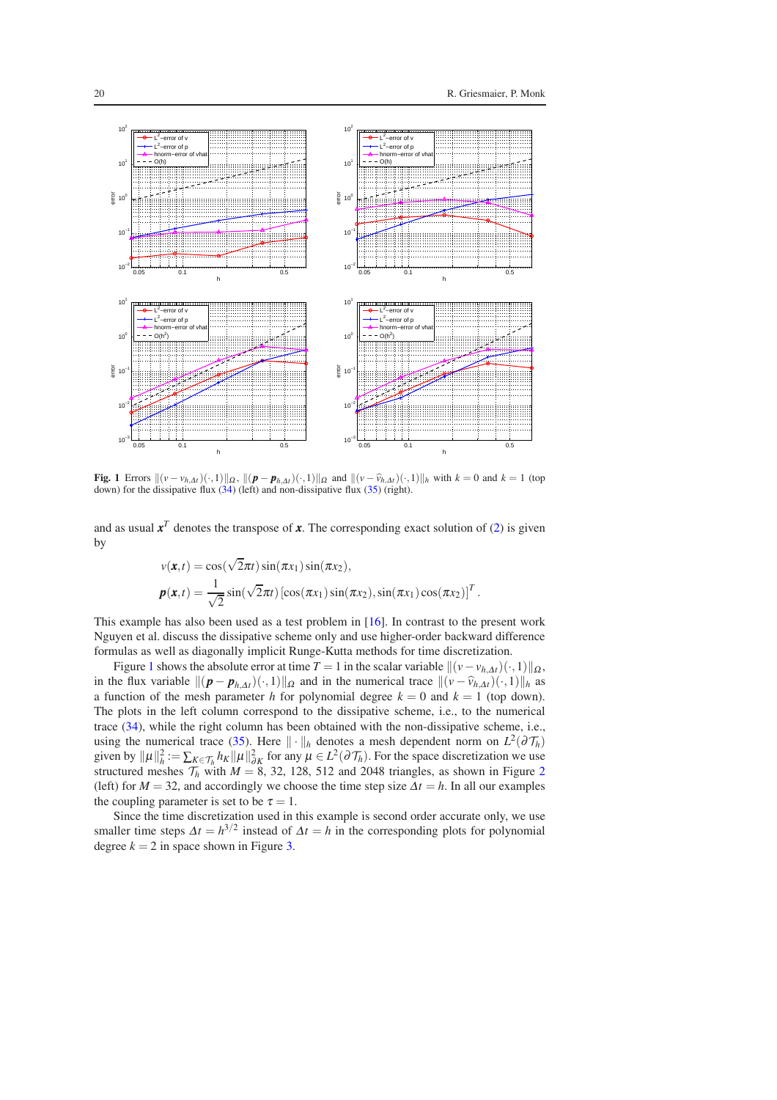

<span id="page-19-0"></span>**Fig. 1** Errors  $\|(v - v_{h,\Delta t})(\cdot, 1)\|_{\Omega}$ ,  $\|(p - p_{h,\Delta t})(\cdot, 1)\|_{\Omega}$  and  $\|(v - \hat{v}_{h,\Delta t})(\cdot, 1)\|_{h}$  with  $k = 0$  and  $k = 1$  (top down) for the dissipative flux  $(34)$  (left) and non-dissipative flux  $(35)$  (right).

and as usual  $x^T$  denotes the transpose of x. The corresponding exact solution of [\(2\)](#page-2-4) is given by

$$
v(\mathbf{x},t) = \cos(\sqrt{2}\pi t)\sin(\pi x_1)\sin(\pi x_2),
$$
  

$$
\mathbf{p}(\mathbf{x},t) = \frac{1}{\sqrt{2}}\sin(\sqrt{2}\pi t)\left[\cos(\pi x_1)\sin(\pi x_2),\sin(\pi x_1)\cos(\pi x_2)\right]^T.
$$

This example has also been used as a test problem in [\[16\]](#page-23-1). In contrast to the present work Nguyen et al. discuss the dissipative scheme only and use higher-order backward difference formulas as well as diagonally implicit Runge-Kutta methods for time discretization.

Figure [1](#page-19-0) shows the absolute error at time  $T = 1$  in the scalar variable  $\|(v - v_{h,\Delta t})(\cdot, 1)\|_{\Omega}$ , in the flux variable  $\|(\mathbf{p} - \mathbf{p}_{h,\Delta t})(\cdot,1)\|_{\Omega}$  and in the numerical trace  $\|(\mathbf{v} - \hat{v}_{h,\Delta t})(\cdot,1)\|_{h}$  as a function of the mesh parameter *h* for polynomial degree  $k = 0$  and  $k = 1$  (top down). The plots in the left column correspond to the dissipative scheme, i.e., to the numerical trace [\(34\)](#page-18-2), while the right column has been obtained with the non-dissipative scheme, i.e., using the numerical trace [\(35\)](#page-18-3). Here  $\|\cdot\|_h$  denotes a mesh dependent norm on  $L^2(\partial \mathcal{T}_h)$ given by  $\|\mu\|_h^2 := \sum_{K \in \mathcal{T}_h} h_K \|\mu\|_{\partial K}^2$  for any  $\mu \in L^2(\partial \mathcal{T}_h)$ . For the space discretization we use structured meshes  $T_h$  with  $M = 8$ , 3[2](#page-20-0), 128, 512 and 2048 triangles, as shown in Figure 2 (left) for  $M = 32$ , and accordingly we choose the time step size  $\Delta t = h$ . In all our examples the coupling parameter is set to be  $\tau = 1$ .

Since the time discretization used in this example is second order accurate only, we use smaller time steps  $\Delta t = h^{3/2}$  instead of  $\Delta t = h$  in the corresponding plots for polynomial degree  $k = 2$  in space shown in Figure [3.](#page-20-1)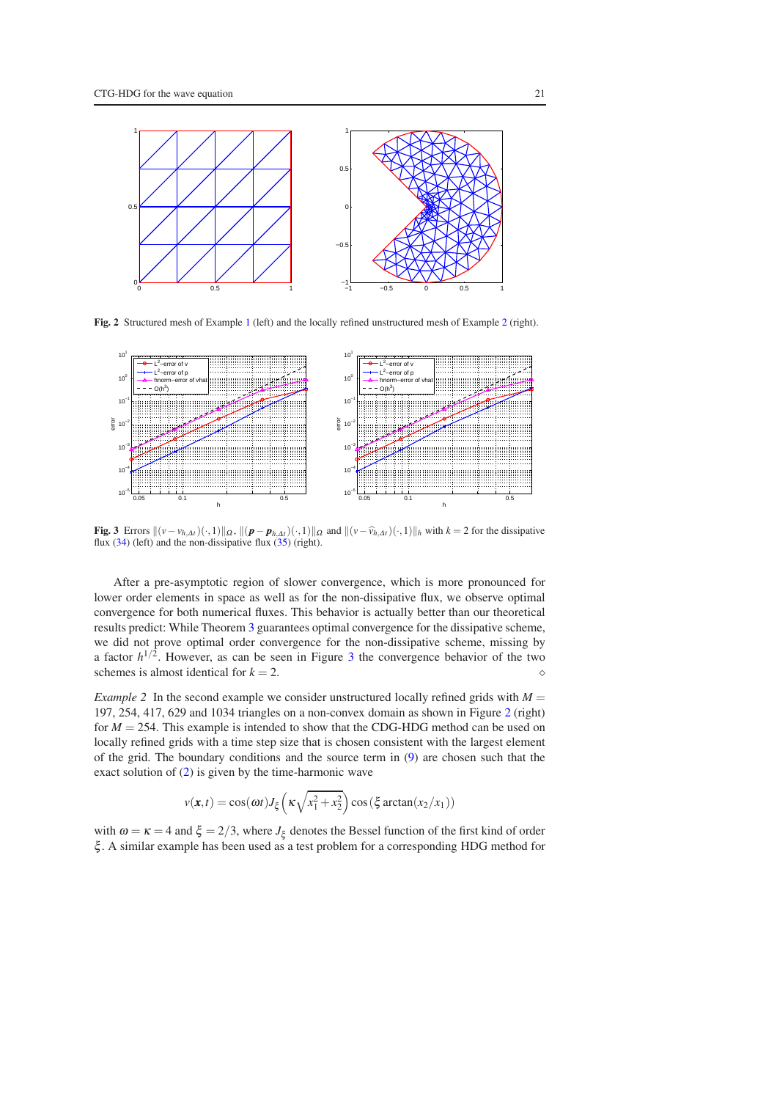

<span id="page-20-0"></span>Fig. 2 Structured mesh of Example [1](#page-18-4) (left) and the locally refined unstructured mesh of Example [2](#page-20-2) (right).



<span id="page-20-1"></span>**Fig. 3** Errors  $\|(v - v_{h,\Delta t})(\cdot, 1)\|_{\Omega}$ ,  $\|(p - p_{h,\Delta t})(\cdot, 1)\|_{\Omega}$  and  $\|(v - \hat{v}_{h,\Delta t})(\cdot, 1)\|_{h}$  with  $k = 2$  for the dissipative flux  $(34)$  (left) and the non-dissipative flux  $(35)$  (right).

After a pre-asymptotic region of slower convergence, which is more pronounced for lower order elements in space as well as for the non-dissipative flux, we observe optimal convergence for both numerical fluxes. This behavior is actually better than our theoretical results predict: While Theorem [3](#page-14-1) guarantees optimal convergence for the dissipative scheme, we did not prove optimal order convergence for the non-dissipative scheme, missing by a factor  $h^{1/2}$ . However, as can be seen in Figure [3](#page-20-1) the convergence behavior of the two schemes is almost identical for *k* = 2. ⋄

<span id="page-20-2"></span>*Example 2* In the second example we consider unstructured locally refined grids with  $M =$ 197, 254, 417, 629 and 1034 triangles on a non-convex domain as shown in Figure [2](#page-20-0) (right) for *M* = 254. This example is intended to show that the CDG-HDG method can be used on locally refined grids with a time step size that is chosen consistent with the largest element of the grid. The boundary conditions and the source term in [\(9\)](#page-6-1) are chosen such that the exact solution of [\(2\)](#page-2-4) is given by the time-harmonic wave

$$
v(\mathbf{x},t) = \cos(\omega t)J_{\xi}\left(\kappa\sqrt{x_1^2 + x_2^2}\right)\cos\left(\xi\arctan(x_2/x_1)\right)
$$

with  $\omega = \kappa = 4$  and  $\xi = 2/3$ , where  $J_{\xi}$  denotes the Bessel function of the first kind of order ξ . A similar example has been used as a test problem for a corresponding HDG method for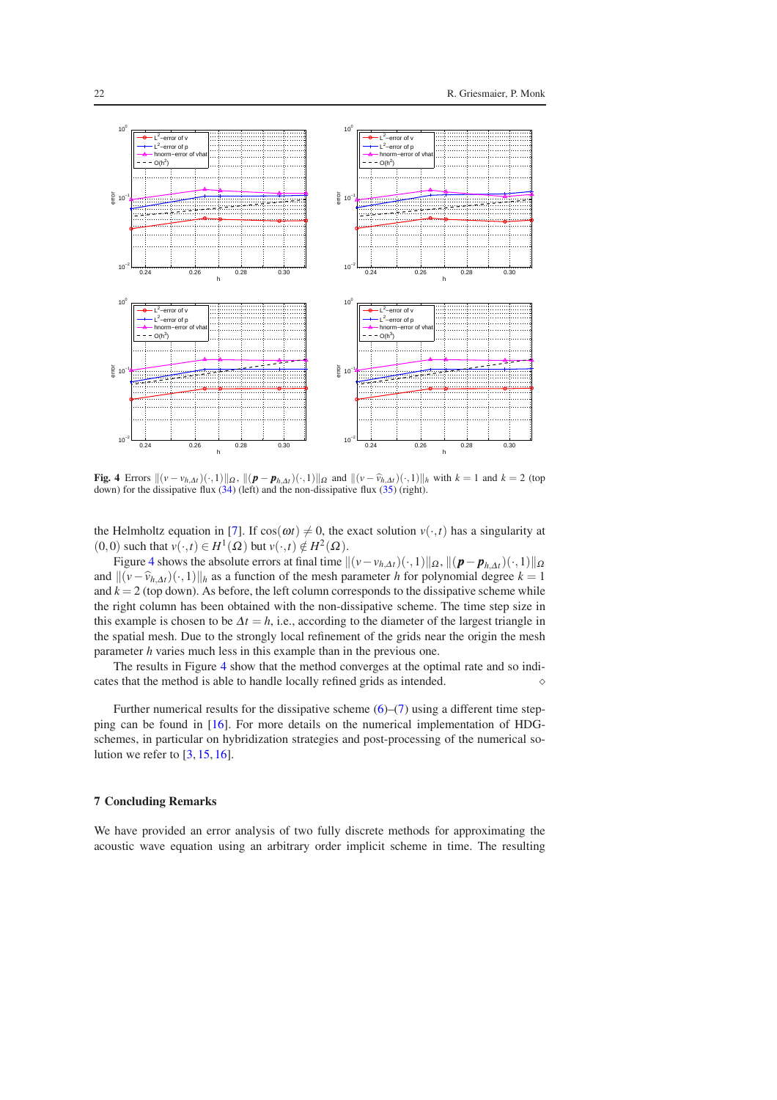

<span id="page-21-1"></span>**Fig.** 4 Errors  $\|(v - v_{h,\Delta t})(\cdot, 1)\|_{\Omega}$ ,  $\|(p - p_{h,\Delta t})(\cdot, 1)\|_{\Omega}$  and  $\|(v - \hat{v}_{h,\Delta t})(\cdot, 1)\|_{h}$  with  $k = 1$  and  $k = 2$  (top down) for the dissipative flux  $(34)$  (left) and the non-dissipative flux  $(35)$  (right).

the Helmholtz equation in [\[7\]](#page-23-5). If  $cos(\omega t) \neq 0$ , the exact solution  $v(\cdot,t)$  has a singularity at  $(0,0)$  such that  $v(\cdot,t) \in H^1(\Omega)$  but  $v(\cdot,t) \notin H^2(\Omega)$ .

Figure [4](#page-21-1) shows the absolute errors at final time  $\|(v-v_{h,\Delta t})(\cdot,1)\|_{\Omega}$ ,  $\|(p-p_{h,\Delta t})(\cdot,1)\|_{\Omega}$ and  $\|(v-\hat{v}_{h,\Delta t})(\cdot,1)\|_h$  as a function of the mesh parameter *h* for polynomial degree *k* = 1 and  $k = 2$  (top down). As before, the left column corresponds to the dissipative scheme while the right column has been obtained with the non-dissipative scheme. The time step size in this example is chosen to be  $\Delta t = h$ , i.e., according to the diameter of the largest triangle in the spatial mesh. Due to the strongly local refinement of the grids near the origin the mesh parameter *h* varies much less in this example than in the previous one.

The results in Figure [4](#page-21-1) show that the method converges at the optimal rate and so indicates that the method is able to handle locally refined grids as intended.  $\Diamond$ 

Further numerical results for the dissipative scheme  $(6)$ – $(7)$  using a different time stepping can be found in [\[16\]](#page-23-1). For more details on the numerical implementation of HDGschemes, in particular on hybridization strategies and post-processing of the numerical solution we refer to  $[3, 15, 16]$  $[3, 15, 16]$  $[3, 15, 16]$  $[3, 15, 16]$ .

## <span id="page-21-0"></span>7 Concluding Remarks

We have provided an error analysis of two fully discrete methods for approximating the acoustic wave equation using an arbitrary order implicit scheme in time. The resulting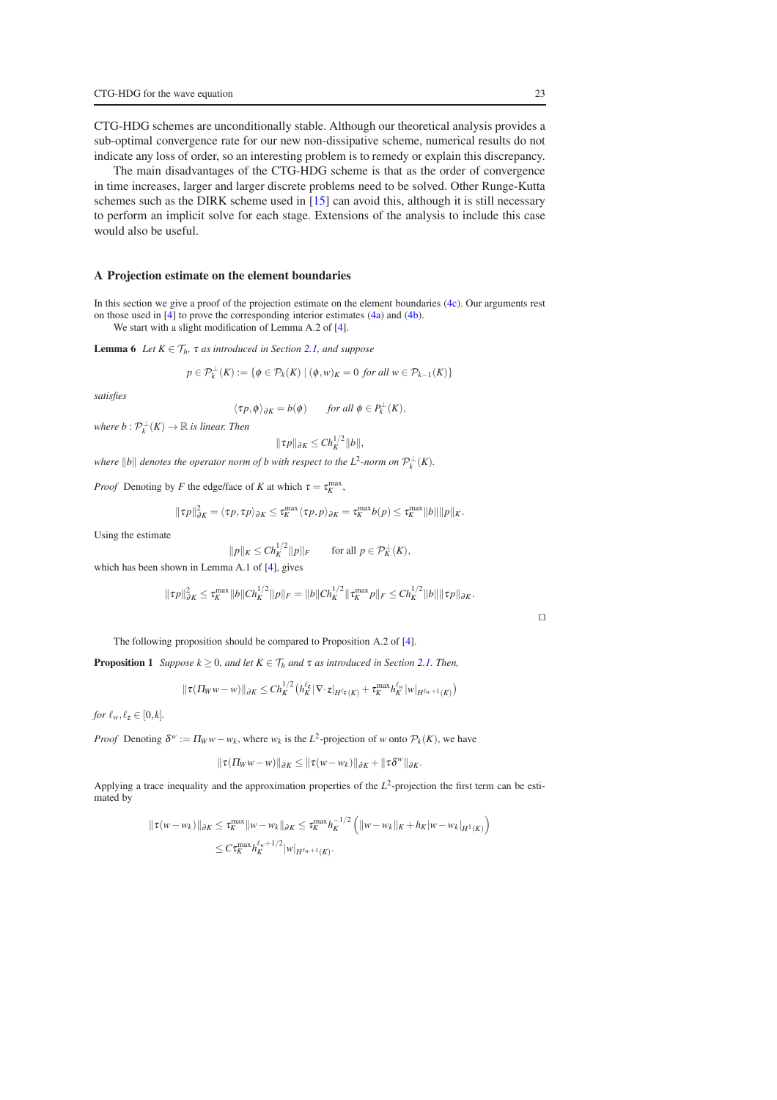CTG-HDG schemes are unconditionally stable. Although our theoretical analysis provides a sub-optimal convergence rate for our new non-dissipative scheme, numerical results do not indicate any loss of order, so an interesting problem is to remedy or explain this discrepancy.

The main disadvantages of the CTG-HDG scheme is that as the order of convergence in time increases, larger and larger discrete problems need to be solved. Other Runge-Kutta schemes such as the DIRK scheme used in [\[15\]](#page-23-16) can avoid this, although it is still necessary to perform an implicit solve for each stage. Extensions of the analysis to include this case would also be useful.

### <span id="page-22-0"></span>A Projection estimate on the element boundaries

In this section we give a proof of the projection estimate on the element boundaries [\(4c\)](#page-4-10). Our arguments rest on those used in [\[4\]](#page-23-4) to prove the corresponding interior estimates [\(4a\)](#page-4-8) and [\(4b\)](#page-4-9).

We start with a slight modification of Lemma A.2 of [\[4\]](#page-23-4).

**Lemma 6** *Let*  $K \in \mathcal{T}_h$ *,*  $\tau$  *as introduced in Section [2.1,](#page-2-5) and suppose* 

$$
p \in \mathcal{P}_k^{\perp}(K) := \{ \phi \in \mathcal{P}_k(K) \mid (\phi, w)_K = 0 \text{ for all } w \in \mathcal{P}_{k-1}(K) \}
$$

*satisfies*

$$
\langle \tau p, \phi \rangle_{\partial K} = b(\phi) \quad \text{for all } \phi \in P_k^{\perp}(K),
$$

 $where b: \mathcal{P}_k^{\perp}(K) \to \mathbb{R}$  *is linear. Then* 

<span id="page-22-1"></span>
$$
\|\tau p\|_{\partial K}\leq Ch_K^{1/2}\|b\|,
$$

*where*  $||b||$  *denotes the operator norm of b with respect to the*  $L^2$ *-norm on*  $\mathcal{P}_k^{\perp}(K)$ .

*Proof* Denoting by *F* the edge/face of *K* at which  $\tau = \tau_K^{\text{max}}$ ,

$$
\|\tau p\|_{\partial K}^2 = \langle \tau p, \tau p \rangle_{\partial K} \leq \tau_K^{\max} \langle \tau p, p \rangle_{\partial K} = \tau_K^{\max} b(p) \leq \tau_K^{\max} \|b\| \|p\|_K.
$$

Using the estimate

$$
||p||_K \leq Ch_K^{1/2} ||p||_F \qquad \text{for all } p \in \mathcal{P}_K^{\perp}(K),
$$

which has been shown in Lemma A.1 of [\[4\]](#page-23-4), gives

$$
\|\tau p\|_{\partial K}^2 \leq \tau_K^{\max} \|b\| C h_K^{1/2} \|p\|_F = \|b\| C h_K^{1/2} \|\tau_K^{\max} p\|_F \leq C h_K^{1/2} \|b\| \|\tau p\|_{\partial K}.
$$

The following proposition should be compared to Proposition A.2 of [\[4\]](#page-23-4).

**Proposition 1** *Suppose*  $k \geq 0$ *, and let*  $K \in \mathcal{T}_h$  *and*  $\tau$  *as introduced in Section [2.1.](#page-2-5) Then,* 

$$
\|\tau(\varPi_W w - w)\|_{\partial K} \leq Ch_K^{1/2} \big( h_K^{\ell_{\mathbf{Z}}}| \nabla \cdot \mathbf{z}|_{H^{\ell_{\mathbf{Z}}}(K)} + \tau_K^{\max} h_K^{\ell_w} |w|_{H^{\ell_w+1}(K)} \big)
$$

*for*  $\ell_w, \ell_z \in [0, k]$ .

*Proof* Denoting  $\delta^w := \Pi_W w - w_k$ , where  $w_k$  is the *L*<sup>2</sup>-projection of *w* onto  $P_k(K)$ , we have

$$
\|\tau(\Pi_W w - w)\|_{\partial K} \le \|\tau(w - w_k)\|_{\partial K} + \|\tau \delta^w\|_{\partial K}.
$$

Applying a trace inequality and the approximation properties of the  $L^2$ -projection the first term can be estimated by

$$
\begin{aligned} ||\tau(w - w_k)||_{\partial K} &\leq \tau_K^{\max} ||w - w_k||_{\partial K} \leq \tau_K^{\max} h_K^{-1/2} \left( ||w - w_k||_K + h_K|w - w_k|_{H^1(K)} \right) \\ &\leq C \tau_K^{\max} h_K^{\ell_w + 1/2} |w|_{H^{\ell_w + 1}(K)} .\end{aligned}
$$

⊓⊔